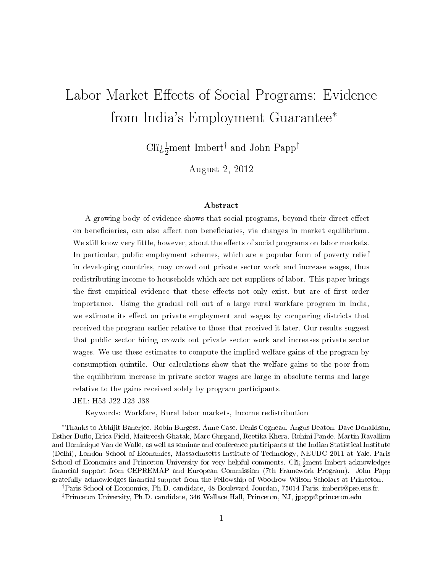# Labor Market Effects of Social Programs: Evidence from India's Employment Guarantee<sup>∗</sup>

Clï $\iota_2^{\frac{1}{2}}$ ment Imbert<sup>†</sup> and John Papp<sup>‡</sup>

August 2, 2012

### Abstract

A growing body of evidence shows that social programs, beyond their direct effect on beneficiaries, can also affect non beneficiaries, via changes in market equilibrium. We still know very little, however, about the effects of social programs on labor markets. In particular, public employment schemes, which are a popular form of poverty relief in developing countries, may crowd out private sector work and increase wages, thus redistributing income to households which are net suppliers of labor. This paper brings the first empirical evidence that these effects not only exist, but are of first order importance. Using the gradual roll out of a large rural workfare program in India, we estimate its effect on private employment and wages by comparing districts that received the program earlier relative to those that received it later. Our results suggest that public sector hiring crowds out private sector work and increases private sector wages. We use these estimates to compute the implied welfare gains of the program by consumption quintile. Our calculations show that the welfare gains to the poor from the equilibrium increase in private sector wages are large in absolute terms and large relative to the gains received solely by program participants.

JEL: H53 J22 J23 J38

Keywords: Workfare, Rural labor markets, Income redistribution

<sup>∗</sup>Thanks to Abhijit Banerjee, Robin Burgess, Anne Case, Denis Cogneau, Angus Deaton, Dave Donaldson, Esther Duflo, Erica Field, Maitreesh Ghatak, Marc Gurgand, Reetika Khera, Rohini Pande, Martin Ravallion and Dominique Van de Walle, as well as seminar and conference participants at the Indian Statistical Institute (Delhi), London School of Economics, Massachusetts Institute of Technology, NEUDC 2011 at Yale, Paris School of Economics and Princeton University for very helpful comments. Clï $\frac{1}{2}$ ment Imbert acknowledges financial support from CEPREMAP and European Commission (7th Framework Program). John Papp gratefully acknowledges nancial support from the Fellowship of Woodrow Wilson Scholars at Princeton.

<sup>†</sup>Paris School of Economics, Ph.D. candidate, 48 Boulevard Jourdan, 75014 Paris, imbert@pse.ens.fr. ‡Princeton University, Ph.D. candidate, 346 Wallace Hall, Princeton, NJ, jpapp@princeton.edu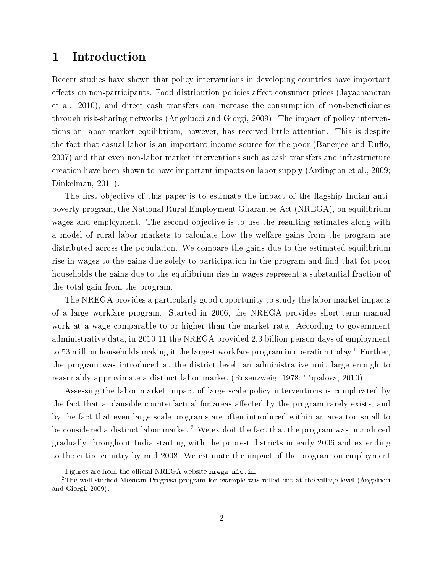## 1 Introduction

Recent studies have shown that policy interventions in developing countries have important effects on non-participants. Food distribution policies affect consumer prices (Jayachandran et al., 2010), and direct cash transfers can increase the consumption of non-beneficiaries through risk-sharing networks (Angelucci and Giorgi, 2009). The impact of policy interventions on labor market equilibrium, however, has received little attention. This is despite the fact that casual labor is an important income source for the poor (Banerjee and Duflo, 2007) and that even non-labor market interventions such as cash transfers and infrastructure creation have been shown to have important impacts on labor supply (Ardington et al., 2009; Dinkelman, 2011).

The first objective of this paper is to estimate the impact of the flagship Indian antipoverty program, the National Rural Employment Guarantee Act (NREGA), on equilibrium wages and employment. The second objective is to use the resulting estimates along with a model of rural labor markets to calculate how the welfare gains from the program are distributed across the population. We compare the gains due to the estimated equilibrium rise in wages to the gains due solely to participation in the program and find that for poor households the gains due to the equilibrium rise in wages represent a substantial fraction of the total gain from the program.

The NREGA provides a particularly good opportunity to study the labor market impacts of a large workfare program. Started in 2006, the NREGA provides short-term manual work at a wage comparable to or higher than the market rate. According to government administrative data, in 2010-11 the NREGA provided 2.3 billion person-days of employment to 53 million households making it the largest workfare program in operation today.<sup>1</sup> Further, the program was introduced at the district level, an administrative unit large enough to reasonably approximate a distinct labor market (Rosenzweig, 1978; Topalova, 2010).

Assessing the labor market impact of large-scale policy interventions is complicated by the fact that a plausible counterfactual for areas affected by the program rarely exists, and by the fact that even large-scale programs are often introduced within an area too small to be considered a distinct labor market.<sup>2</sup> We exploit the fact that the program was introduced gradually throughout India starting with the poorest districts in early 2006 and extending to the entire country by mid 2008. We estimate the impact of the program on employment

<sup>&</sup>lt;sup>1</sup>Figures are from the official NREGA website  $n$ rega.nic.in.

<sup>2</sup>The well-studied Mexican Progresa program for example was rolled out at the village level (Angelucci and Giorgi, 2009).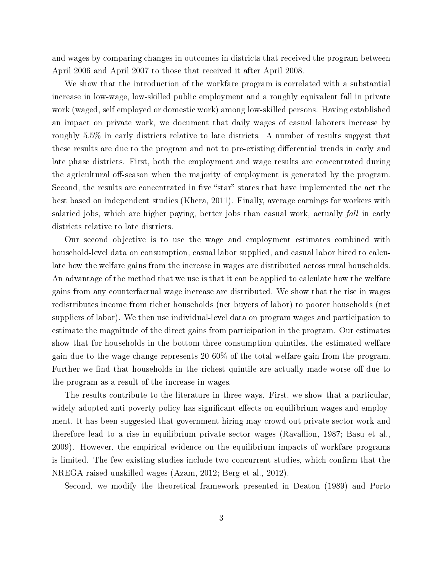and wages by comparing changes in outcomes in districts that received the program between April 2006 and April 2007 to those that received it after April 2008.

We show that the introduction of the workfare program is correlated with a substantial increase in low-wage, low-skilled public employment and a roughly equivalent fall in private work (waged, self employed or domestic work) among low-skilled persons. Having established an impact on private work, we document that daily wages of casual laborers increase by roughly 5.5% in early districts relative to late districts. A number of results suggest that these results are due to the program and not to pre-existing differential trends in early and late phase districts. First, both the employment and wage results are concentrated during the agricultural off-season when the majority of employment is generated by the program. Second, the results are concentrated in five "star" states that have implemented the act the best based on independent studies (Khera, 2011). Finally, average earnings for workers with salaried jobs, which are higher paying, better jobs than casual work, actually *fall* in early districts relative to late districts.

Our second objective is to use the wage and employment estimates combined with household-level data on consumption, casual labor supplied, and casual labor hired to calculate how the welfare gains from the increase in wages are distributed across rural households. An advantage of the method that we use is that it can be applied to calculate how the welfare gains from any counterfactual wage increase are distributed. We show that the rise in wages redistributes income from richer households (net buyers of labor) to poorer households (net suppliers of labor). We then use individual-level data on program wages and participation to estimate the magnitude of the direct gains from participation in the program. Our estimates show that for households in the bottom three consumption quintiles, the estimated welfare gain due to the wage change represents 20-60% of the total welfare gain from the program. Further we find that households in the richest quintile are actually made worse off due to the program as a result of the increase in wages.

The results contribute to the literature in three ways. First, we show that a particular, widely adopted anti-poverty policy has significant effects on equilibrium wages and employment. It has been suggested that government hiring may crowd out private sector work and therefore lead to a rise in equilibrium private sector wages (Ravallion, 1987; Basu et al., 2009). However, the empirical evidence on the equilibrium impacts of workfare programs is limited. The few existing studies include two concurrent studies, which confirm that the NREGA raised unskilled wages (Azam, 2012; Berg et al., 2012).

Second, we modify the theoretical framework presented in Deaton (1989) and Porto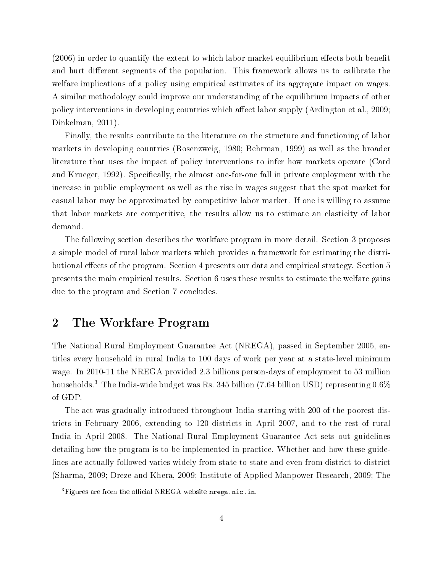$(2006)$  in order to quantify the extent to which labor market equilibrium effects both benefit and hurt different segments of the population. This framework allows us to calibrate the welfare implications of a policy using empirical estimates of its aggregate impact on wages. A similar methodology could improve our understanding of the equilibrium impacts of other policy interventions in developing countries which affect labor supply (Ardington et al., 2009; Dinkelman, 2011).

Finally, the results contribute to the literature on the structure and functioning of labor markets in developing countries (Rosenzweig, 1980; Behrman, 1999) as well as the broader literature that uses the impact of policy interventions to infer how markets operate (Card and Krueger, 1992). Specifically, the almost one-for-one fall in private employment with the increase in public employment as well as the rise in wages suggest that the spot market for casual labor may be approximated by competitive labor market. If one is willing to assume that labor markets are competitive, the results allow us to estimate an elasticity of labor demand.

The following section describes the workfare program in more detail. Section 3 proposes a simple model of rural labor markets which provides a framework for estimating the distributional effects of the program. Section 4 presents our data and empirical strategy. Section 5 presents the main empirical results. Section 6 uses these results to estimate the welfare gains due to the program and Section 7 concludes.

## 2 The Workfare Program

The National Rural Employment Guarantee Act (NREGA), passed in September 2005, entitles every household in rural India to 100 days of work per year at a state-level minimum wage. In 2010-11 the NREGA provided 2.3 billions person-days of employment to 53 million households.<sup>3</sup> The India-wide budget was Rs. 345 billion (7.64 billion USD) representing 0.6% of GDP.

The act was gradually introduced throughout India starting with 200 of the poorest districts in February 2006, extending to 120 districts in April 2007, and to the rest of rural India in April 2008. The National Rural Employment Guarantee Act sets out guidelines detailing how the program is to be implemented in practice. Whether and how these guidelines are actually followed varies widely from state to state and even from district to district (Sharma, 2009; Dreze and Khera, 2009; Institute of Applied Manpower Research, 2009; The

 ${}^{3}$ Figures are from the official NREGA website nrega.nic.in.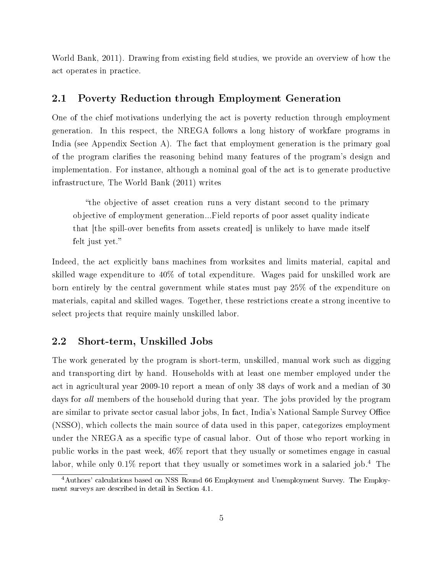World Bank, 2011). Drawing from existing field studies, we provide an overview of how the act operates in practice.

### 2.1 Poverty Reduction through Employment Generation

One of the chief motivations underlying the act is poverty reduction through employment generation. In this respect, the NREGA follows a long history of workfare programs in India (see Appendix Section A). The fact that employment generation is the primary goal of the program clarifies the reasoning behind many features of the program's design and implementation. For instance, although a nominal goal of the act is to generate productive infrastructure, The World Bank (2011) writes

the objective of asset creation runs a very distant second to the primary objective of employment generation...Field reports of poor asset quality indicate that [the spill-over benefits from assets created] is unlikely to have made itself felt just yet.

Indeed, the act explicitly bans machines from worksites and limits material, capital and skilled wage expenditure to 40% of total expenditure. Wages paid for unskilled work are born entirely by the central government while states must pay 25% of the expenditure on materials, capital and skilled wages. Together, these restrictions create a strong incentive to select projects that require mainly unskilled labor.

### 2.2 Short-term, Unskilled Jobs

The work generated by the program is short-term, unskilled, manual work such as digging and transporting dirt by hand. Households with at least one member employed under the act in agricultural year 2009-10 report a mean of only 38 days of work and a median of 30 days for *all* members of the household during that year. The jobs provided by the program are similar to private sector casual labor jobs, In fact, India's National Sample Survey Office (NSSO), which collects the main source of data used in this paper, categorizes employment under the NREGA as a specific type of casual labor. Out of those who report working in public works in the past week, 46% report that they usually or sometimes engage in casual labor, while only 0.1% report that they usually or sometimes work in a salaried job.<sup>4</sup> The

<sup>4</sup>Authors' calculations based on NSS Round 66 Employment and Unemployment Survey. The Employment surveys are described in detail in Section 4.1.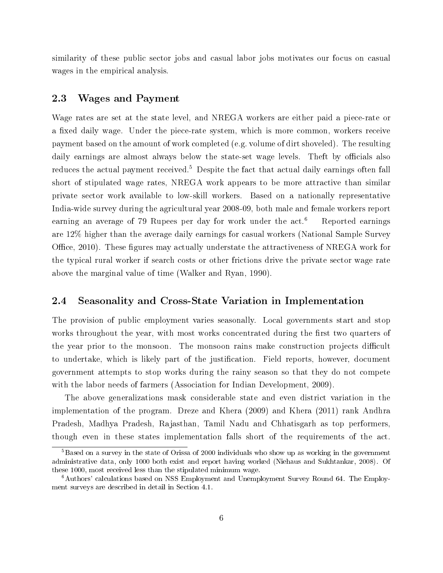similarity of these public sector jobs and casual labor jobs motivates our focus on casual wages in the empirical analysis.

### 2.3 Wages and Payment

Wage rates are set at the state level, and NREGA workers are either paid a piece-rate or a fixed daily wage. Under the piece-rate system, which is more common, workers receive payment based on the amount of work completed (e.g. volume of dirt shoveled). The resulting daily earnings are almost always below the state-set wage levels. Theft by officials also reduces the actual payment received.<sup>5</sup> Despite the fact that actual daily earnings often fall short of stipulated wage rates, NREGA work appears to be more attractive than similar private sector work available to low-skill workers. Based on a nationally representative India-wide survey during the agricultural year 2008-09, both male and female workers report earning an average of 79 Rupees per day for work under the act.<sup>6</sup> Reported earnings are 12% higher than the average daily earnings for casual workers (National Sample Survey Office, 2010). These figures may actually understate the attractiveness of NREGA work for the typical rural worker if search costs or other frictions drive the private sector wage rate above the marginal value of time (Walker and Ryan, 1990).

### 2.4 Seasonality and Cross-State Variation in Implementation

The provision of public employment varies seasonally. Local governments start and stop works throughout the year, with most works concentrated during the first two quarters of the year prior to the monsoon. The monsoon rains make construction projects difficult to undertake, which is likely part of the justification. Field reports, however, document government attempts to stop works during the rainy season so that they do not compete with the labor needs of farmers (Association for Indian Development, 2009).

The above generalizations mask considerable state and even district variation in the implementation of the program. Dreze and Khera (2009) and Khera (2011) rank Andhra Pradesh, Madhya Pradesh, Rajasthan, Tamil Nadu and Chhatisgarh as top performers, though even in these states implementation falls short of the requirements of the act.

<sup>5</sup>Based on a survey in the state of Orissa of 2000 individuals who show up as working in the government administrative data, only 1000 both exist and report having worked (Niehaus and Sukhtankar, 2008). Of these 1000, most received less than the stipulated minimum wage.

<sup>6</sup>Authors' calculations based on NSS Employment and Unemployment Survey Round 64. The Employment surveys are described in detail in Section 4.1.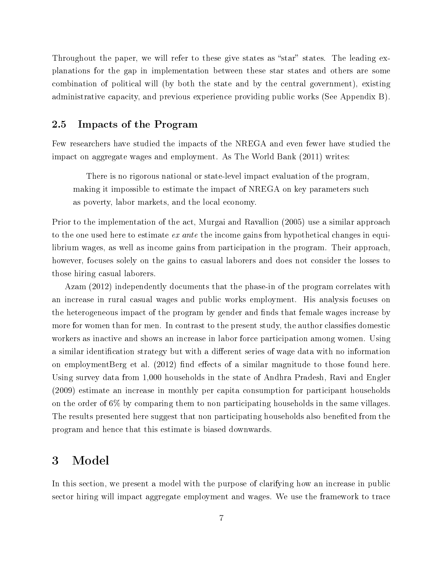Throughout the paper, we will refer to these give states as "star" states. The leading explanations for the gap in implementation between these star states and others are some combination of political will (by both the state and by the central government), existing administrative capacity, and previous experience providing public works (See Appendix B).

### 2.5 Impacts of the Program

Few researchers have studied the impacts of the NREGA and even fewer have studied the impact on aggregate wages and employment. As The World Bank (2011) writes:

There is no rigorous national or state-level impact evaluation of the program, making it impossible to estimate the impact of NREGA on key parameters such as poverty, labor markets, and the local economy.

Prior to the implementation of the act, Murgai and Ravallion (2005) use a similar approach to the one used here to estimate ex ante the income gains from hypothetical changes in equilibrium wages, as well as income gains from participation in the program. Their approach, however, focuses solely on the gains to casual laborers and does not consider the losses to those hiring casual laborers.

Azam (2012) independently documents that the phase-in of the program correlates with an increase in rural casual wages and public works employment. His analysis focuses on the heterogeneous impact of the program by gender and finds that female wages increase by more for women than for men. In contrast to the present study, the author classifies domestic workers as inactive and shows an increase in labor force participation among women. Using a similar identification strategy but with a different series of wage data with no information on employmentBerg et al.  $(2012)$  find effects of a similar magnitude to those found here. Using survey data from 1,000 households in the state of Andhra Pradesh, Ravi and Engler (2009) estimate an increase in monthly per capita consumption for participant households on the order of 6% by comparing them to non participating households in the same villages. The results presented here suggest that non participating households also benefited from the program and hence that this estimate is biased downwards.

### 3 Model

In this section, we present a model with the purpose of clarifying how an increase in public sector hiring will impact aggregate employment and wages. We use the framework to trace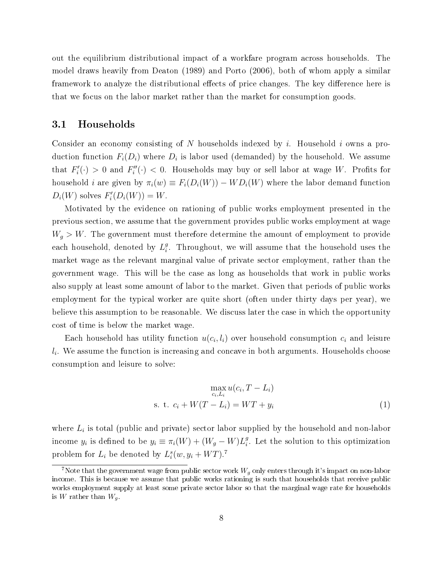out the equilibrium distributional impact of a workfare program across households. The model draws heavily from Deaton (1989) and Porto (2006), both of whom apply a similar framework to analyze the distributional effects of price changes. The key difference here is that we focus on the labor market rather than the market for consumption goods.

### 3.1 Households

Consider an economy consisting of N households indexed by i. Household i owns a production function  $F_i(D_i)$  where  $D_i$  is labor used (demanded) by the household. We assume that  $F_i'(\cdot) > 0$  and  $F_i''(\cdot) < 0$ . Households may buy or sell labor at wage W. Profits for household *i* are given by  $\pi_i(w) \equiv F_i(D_i(W)) - WD_i(W)$  where the labor demand function  $D_i(W)$  solves  $F_i'(D_i(W)) = W$ .

Motivated by the evidence on rationing of public works employment presented in the previous section, we assume that the government provides public works employment at wage  $W_g > W$ . The government must therefore determine the amount of employment to provide each household, denoted by  $L_i^g$  $_i^g$ . Throughout, we will assume that the household uses the market wage as the relevant marginal value of private sector employment, rather than the government wage. This will be the case as long as households that work in public works also supply at least some amount of labor to the market. Given that periods of public works employment for the typical worker are quite short (often under thirty days per year), we believe this assumption to be reasonable. We discuss later the case in which the opportunity cost of time is below the market wage.

Each household has utility function  $u(c_i, l_i)$  over household consumption  $c_i$  and leisure  $l_i$ . We assume the function is increasing and concave in both arguments. Households choose consumption and leisure to solve:

$$
\max_{c_i, L_i} u(c_i, T - L_i)
$$
  
s. t. 
$$
c_i + W(T - L_i) = WT + y_i
$$
 (1)

where  $L_i$  is total (public and private) sector labor supplied by the household and non-labor income  $y_i$  is defined to be  $y_i \equiv \pi_i(W) + (W_g - W)L_i^g$  $_i^g$ . Let the solution to this optimization problem for  $L_i$  be denoted by  $L_i^s(w, y_i + WT)$ .<sup>7</sup>

<sup>&</sup>lt;sup>7</sup>Note that the government wage from public sector work  $W_q$  only enters through it's impact on non-labor income. This is because we assume that public works rationing is such that households that receive public works employment supply at least some private sector labor so that the marginal wage rate for households is W rather than  $W_g$ .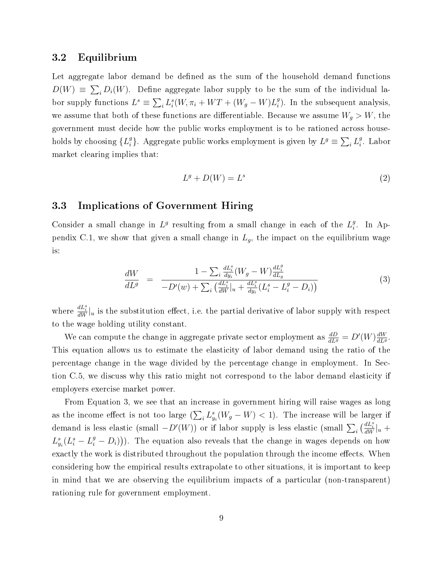### 3.2 Equilibrium

Let aggregate labor demand be defined as the sum of the household demand functions  $D(W) \equiv \sum_i D_i(W)$ . Define aggregate labor supply to be the sum of the individual labor supply functions  $L^s \equiv \sum_i L_i^s(W, \pi_i + WT + (W_g - W)L_i^g)$  $_{i}^{g}$ ). In the subsequent analysis, we assume that both of these functions are differentiable. Because we assume  $W_q > W$ , the government must decide how the public works employment is to be rationed across households by choosing  $\{L_i^g\}$ <sup>g</sup>}. Aggregate public works employment is given by  $L^g \equiv \sum_i L_i^g$  $_i^g$ . Labor market clearing implies that:

$$
L^g + D(W) = L^s \tag{2}
$$

### 3.3 Implications of Government Hiring

Consider a small change in  $L^g$  resulting from a small change in each of the  $L_i^g$  $_i^g$ . In Appendix C.1, we show that given a small change in  $L_g$ , the impact on the equilibrium wage is:

$$
\frac{dW}{dL^{g}} = \frac{1 - \sum_{i} \frac{dL_{i}^{s}}{dy_{i}} (W_{g} - W) \frac{dL_{i}^{g}}{dL_{g}}}{-D'(w) + \sum_{i} \left(\frac{dL_{i}^{s}}{dW}|_{u} + \frac{dL_{i}^{s}}{dy_{i}} (L_{i}^{s} - L_{i}^{g} - D_{i})\right)}
$$
(3)

where  $\frac{dL_i^s}{dW}\Big|_u$  is the substitution effect, i.e. the partial derivative of labor supply with respect to the wage holding utility constant.

We can compute the change in aggregate private sector employment as  $\frac{dD}{dL^g} = D'(W) \frac{dW}{dL^g}$  $\overline{dL^g}$ . This equation allows us to estimate the elasticity of labor demand using the ratio of the percentage change in the wage divided by the percentage change in employment. In Section C.5, we discuss why this ratio might not correspond to the labor demand elasticity if employers exercise market power.

From Equation 3, we see that an increase in government hiring will raise wages as long as the income effect is not too large  $(\sum_i L_{y_i}^s(W_g - W) < 1)$ . The increase will be larger if demand is less elastic (small  $-D'(W)$ ) or if labor supply is less elastic (small  $\sum_i \left(\frac{dL_i^s}{dW}\right)_{u}$  +  $L_{y_i}^s(L_i^s - L_i^g - D_i))$ . The equation also reveals that the change in wages depends on how exactly the work is distributed throughout the population through the income effects. When considering how the empirical results extrapolate to other situations, it is important to keep in mind that we are observing the equilibrium impacts of a particular (non-transparent) rationing rule for government employment.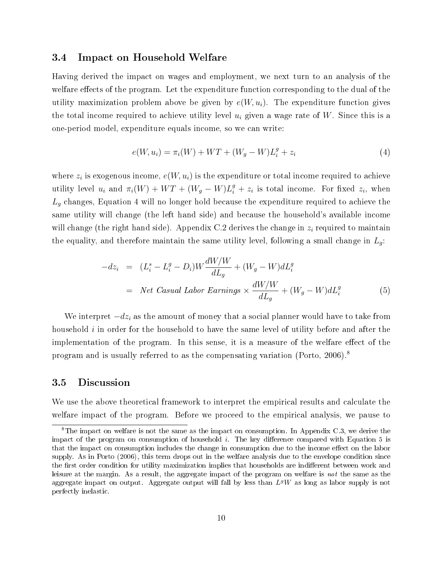### 3.4 Impact on Household Welfare

Having derived the impact on wages and employment, we next turn to an analysis of the welfare effects of the program. Let the expenditure function corresponding to the dual of the utility maximization problem above be given by  $e(W, u_i)$ . The expenditure function gives the total income required to achieve utility level  $u_i$  given a wage rate of W. Since this is a one-period model, expenditure equals income, so we can write:

$$
e(W, u_i) = \pi_i(W) + WT + (W_g - W)L_i^g + z_i
$$
\n(4)

where  $z_i$  is exogenous income,  $e(W, u_i)$  is the expenditure or total income required to achieve utility level  $u_i$  and  $\pi_i(W) + WT + (W_g - W)L_i^g + z_i$  is total income. For fixed  $z_i$ , when  $L_g$  changes, Equation 4 will no longer hold because the expenditure required to achieve the same utility will change (the left hand side) and because the household's available income will change (the right hand side). Appendix C.2 derives the change in  $z_i$  required to maintain the equality, and therefore maintain the same utility level, following a small change in  $L_q$ :

$$
-dz_i = (L_i^s - L_i^g - D_i)W \frac{dW/W}{dL_g} + (W_g - W)dL_i^g
$$
  
= Net Casual Labor Earnings ×  $\frac{dW/W}{dL_g} + (W_g - W)dL_i^g$  (5)

We interpret  $-dz_i$  as the amount of money that a social planner would have to take from household  $i$  in order for the household to have the same level of utility before and after the implementation of the program. In this sense, it is a measure of the welfare effect of the program and is usually referred to as the compensating variation (Porto, 2006).<sup>8</sup>

### 3.5 Discussion

We use the above theoretical framework to interpret the empirical results and calculate the welfare impact of the program. Before we proceed to the empirical analysis, we pause to

<sup>&</sup>lt;sup>8</sup>The impact on welfare is not the same as the impact on consumption. In Appendix C.3, we derive the impact of the program on consumption of household  $i$ . The key difference compared with Equation 5 is that the impact on consumption includes the change in consumption due to the income effect on the labor supply. As in Porto (2006), this term drops out in the welfare analysis due to the envelope condition since the first order condition for utility maximization implies that households are indifferent between work and leisure at the margin. As a result, the aggregate impact of the program on welfare is not the same as the aggregate impact on output. Aggregate output will fall by less than  $L^gW$  as long as labor supply is not perfectly inelastic.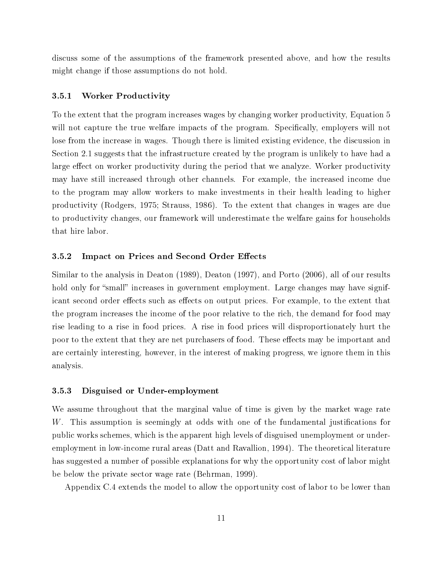discuss some of the assumptions of the framework presented above, and how the results might change if those assumptions do not hold.

### 3.5.1 Worker Productivity

To the extent that the program increases wages by changing worker productivity, Equation 5 will not capture the true welfare impacts of the program. Specifically, employers will not lose from the increase in wages. Though there is limited existing evidence, the discussion in Section 2.1 suggests that the infrastructure created by the program is unlikely to have had a large effect on worker productivity during the period that we analyze. Worker productivity may have still increased through other channels. For example, the increased income due to the program may allow workers to make investments in their health leading to higher productivity (Rodgers, 1975; Strauss, 1986). To the extent that changes in wages are due to productivity changes, our framework will underestimate the welfare gains for households that hire labor.

### 3.5.2 Impact on Prices and Second Order Effects

Similar to the analysis in Deaton (1989), Deaton (1997), and Porto (2006), all of our results hold only for "small" increases in government employment. Large changes may have significant second order effects such as effects on output prices. For example, to the extent that the program increases the income of the poor relative to the rich, the demand for food may rise leading to a rise in food prices. A rise in food prices will disproportionately hurt the poor to the extent that they are net purchasers of food. These effects may be important and are certainly interesting, however, in the interest of making progress, we ignore them in this analysis.

### 3.5.3 Disguised or Under-employment

We assume throughout that the marginal value of time is given by the market wage rate W. This assumption is seemingly at odds with one of the fundamental justifications for public works schemes, which is the apparent high levels of disguised unemployment or underemployment in low-income rural areas (Datt and Ravallion, 1994). The theoretical literature has suggested a number of possible explanations for why the opportunity cost of labor might be below the private sector wage rate (Behrman, 1999).

Appendix C.4 extends the model to allow the opportunity cost of labor to be lower than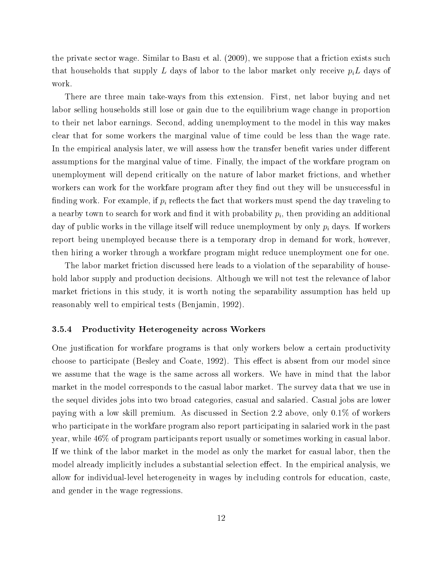the private sector wage. Similar to Basu et al. (2009), we suppose that a friction exists such that households that supply L days of labor to the labor market only receive  $p_i L$  days of work.

There are three main take-ways from this extension. First, net labor buying and net labor selling households still lose or gain due to the equilibrium wage change in proportion to their net labor earnings. Second, adding unemployment to the model in this way makes clear that for some workers the marginal value of time could be less than the wage rate. In the empirical analysis later, we will assess how the transfer benefit varies under different assumptions for the marginal value of time. Finally, the impact of the workfare program on unemployment will depend critically on the nature of labor market frictions, and whether workers can work for the workfare program after they find out they will be unsuccessful in finding work. For example, if  $p_i$  reflects the fact that workers must spend the day traveling to a nearby town to search for work and find it with probability  $p_i,$  then providing an additional day of public works in the village itself will reduce unemployment by only  $p_i$  days. If workers report being unemployed because there is a temporary drop in demand for work, however, then hiring a worker through a workfare program might reduce unemployment one for one.

The labor market friction discussed here leads to a violation of the separability of household labor supply and production decisions. Although we will not test the relevance of labor market frictions in this study, it is worth noting the separability assumption has held up reasonably well to empirical tests (Benjamin, 1992).

### 3.5.4 Productivity Heterogeneity across Workers

One justification for workfare programs is that only workers below a certain productivity choose to participate (Besley and Coate, 1992). This effect is absent from our model since we assume that the wage is the same across all workers. We have in mind that the labor market in the model corresponds to the casual labor market. The survey data that we use in the sequel divides jobs into two broad categories, casual and salaried. Casual jobs are lower paying with a low skill premium. As discussed in Section 2.2 above, only 0.1% of workers who participate in the workfare program also report participating in salaried work in the past year, while 46% of program participants report usually or sometimes working in casual labor. If we think of the labor market in the model as only the market for casual labor, then the model already implicitly includes a substantial selection effect. In the empirical analysis, we allow for individual-level heterogeneity in wages by including controls for education, caste, and gender in the wage regressions.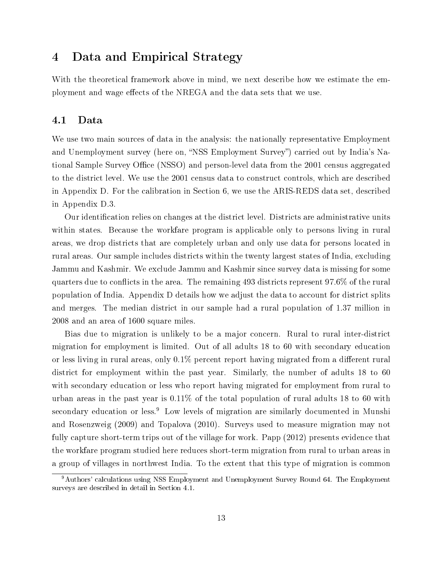## 4 Data and Empirical Strategy

With the theoretical framework above in mind, we next describe how we estimate the employment and wage effects of the NREGA and the data sets that we use.

### 4.1 Data

We use two main sources of data in the analysis: the nationally representative Employment and Unemployment survey (here on, "NSS Employment Survey") carried out by India's National Sample Survey Office (NSSO) and person-level data from the 2001 census aggregated to the district level. We use the 2001 census data to construct controls, which are described in Appendix D. For the calibration in Section 6, we use the ARIS-REDS data set, described in Appendix D.3.

Our identication relies on changes at the district level. Districts are administrative units within states. Because the workfare program is applicable only to persons living in rural areas, we drop districts that are completely urban and only use data for persons located in rural areas. Our sample includes districts within the twenty largest states of India, excluding Jammu and Kashmir. We exclude Jammu and Kashmir since survey data is missing for some quarters due to conflicts in the area. The remaining  $493$  districts represent  $97.6\%$  of the rural population of India. Appendix D details how we adjust the data to account for district splits and merges. The median district in our sample had a rural population of 1.37 million in 2008 and an area of 1600 square miles.

Bias due to migration is unlikely to be a major concern. Rural to rural inter-district migration for employment is limited. Out of all adults 18 to 60 with secondary education or less living in rural areas, only  $0.1\%$  percent report having migrated from a different rural district for employment within the past year. Similarly, the number of adults 18 to 60 with secondary education or less who report having migrated for employment from rural to urban areas in the past year is 0.11% of the total population of rural adults 18 to 60 with secondary education or less.<sup>9</sup> Low levels of migration are similarly documented in Munshi and Rosenzweig (2009) and Topalova (2010). Surveys used to measure migration may not fully capture short-term trips out of the village for work. Papp (2012) presents evidence that the workfare program studied here reduces short-term migration from rural to urban areas in a group of villages in northwest India. To the extent that this type of migration is common

<sup>&</sup>lt;sup>9</sup>Authors' calculations using NSS Employment and Unemployment Survey Round 64. The Employment surveys are described in detail in Section 4.1.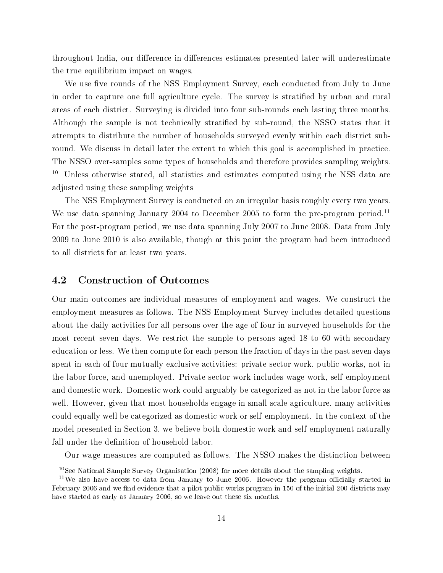throughout India, our difference-in-differences estimates presented later will underestimate the true equilibrium impact on wages.

We use five rounds of the NSS Employment Survey, each conducted from July to June in order to capture one full agriculture cycle. The survey is stratified by urban and rural areas of each district. Surveying is divided into four sub-rounds each lasting three months. Although the sample is not technically stratified by sub-round, the NSSO states that it attempts to distribute the number of households surveyed evenly within each district subround. We discuss in detail later the extent to which this goal is accomplished in practice. The NSSO over-samples some types of households and therefore provides sampling weights. <sup>10</sup> Unless otherwise stated, all statistics and estimates computed using the NSS data are adjusted using these sampling weights

The NSS Employment Survey is conducted on an irregular basis roughly every two years. We use data spanning January 2004 to December 2005 to form the pre-program period.<sup>11</sup> For the post-program period, we use data spanning July 2007 to June 2008. Data from July 2009 to June 2010 is also available, though at this point the program had been introduced to all districts for at least two years.

### 4.2 Construction of Outcomes

Our main outcomes are individual measures of employment and wages. We construct the employment measures as follows. The NSS Employment Survey includes detailed questions about the daily activities for all persons over the age of four in surveyed households for the most recent seven days. We restrict the sample to persons aged 18 to 60 with secondary education or less. We then compute for each person the fraction of days in the past seven days spent in each of four mutually exclusive activities: private sector work, public works, not in the labor force, and unemployed. Private sector work includes wage work, self-employment and domestic work. Domestic work could arguably be categorized as not in the labor force as well. However, given that most households engage in small-scale agriculture, many activities could equally well be categorized as domestic work or self-employment. In the context of the model presented in Section 3, we believe both domestic work and self-employment naturally fall under the definition of household labor.

Our wage measures are computed as follows. The NSSO makes the distinction between

<sup>&</sup>lt;sup>10</sup>See National Sample Survey Organisation  $(2008)$  for more details about the sampling weights.

 $11$ We also have access to data from January to June 2006. However the program officially started in February 2006 and we find evidence that a pilot public works program in 150 of the initial 200 districts may have started as early as January 2006, so we leave out these six months.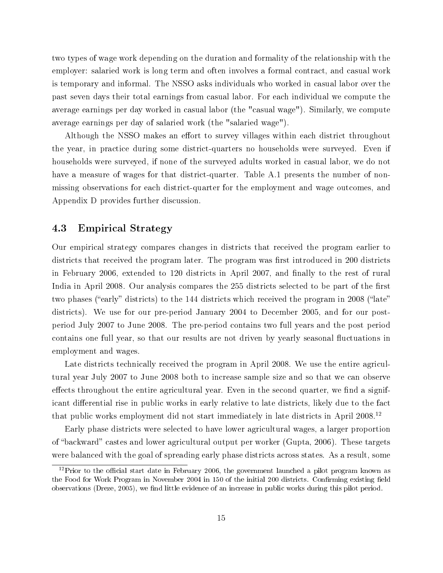two types of wage work depending on the duration and formality of the relationship with the employer: salaried work is long term and often involves a formal contract, and casual work is temporary and informal. The NSSO asks individuals who worked in casual labor over the past seven days their total earnings from casual labor. For each individual we compute the average earnings per day worked in casual labor (the "casual wage"). Similarly, we compute average earnings per day of salaried work (the "salaried wage").

Although the NSSO makes an effort to survey villages within each district throughout the year, in practice during some district-quarters no households were surveyed. Even if households were surveyed, if none of the surveyed adults worked in casual labor, we do not have a measure of wages for that district-quarter. Table A.1 presents the number of nonmissing observations for each district-quarter for the employment and wage outcomes, and Appendix D provides further discussion.

### 4.3 Empirical Strategy

Our empirical strategy compares changes in districts that received the program earlier to districts that received the program later. The program was first introduced in 200 districts in February 2006, extended to 120 districts in April 2007, and finally to the rest of rural India in April 2008. Our analysis compares the 255 districts selected to be part of the first two phases ("early" districts) to the 144 districts which received the program in 2008 ("late" districts). We use for our pre-period January 2004 to December 2005, and for our postperiod July 2007 to June 2008. The pre-period contains two full years and the post period contains one full year, so that our results are not driven by yearly seasonal fluctuations in employment and wages.

Late districts technically received the program in April 2008. We use the entire agricultural year July 2007 to June 2008 both to increase sample size and so that we can observe effects throughout the entire agricultural year. Even in the second quarter, we find a significant differential rise in public works in early relative to late districts, likely due to the fact that public works employment did not start immediately in late districts in April 2008.<sup>12</sup>

Early phase districts were selected to have lower agricultural wages, a larger proportion of "backward" castes and lower agricultural output per worker (Gupta, 2006). These targets were balanced with the goal of spreading early phase districts across states. As a result, some

 $12$ Prior to the official start date in February 2006, the government launched a pilot program known as the Food for Work Program in November 2004 in 150 of the initial 200 districts. Confirming existing field observations (Dreze, 2005), we find little evidence of an increase in public works during this pilot period.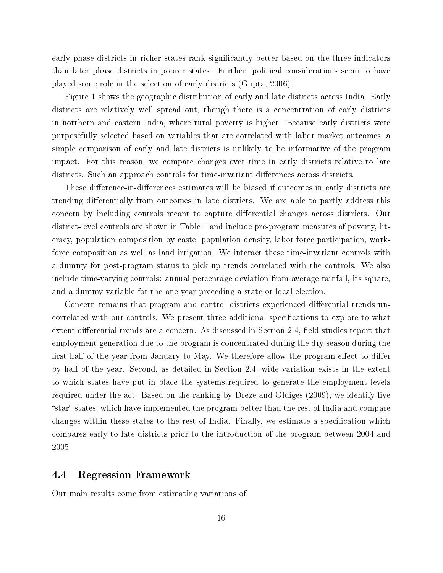early phase districts in richer states rank signicantly better based on the three indicators than later phase districts in poorer states. Further, political considerations seem to have played some role in the selection of early districts (Gupta, 2006).

Figure 1 shows the geographic distribution of early and late districts across India. Early districts are relatively well spread out, though there is a concentration of early districts in northern and eastern India, where rural poverty is higher. Because early districts were purposefully selected based on variables that are correlated with labor market outcomes, a simple comparison of early and late districts is unlikely to be informative of the program impact. For this reason, we compare changes over time in early districts relative to late districts. Such an approach controls for time-invariant differences across districts.

These difference-in-differences estimates will be biased if outcomes in early districts are trending differentially from outcomes in late districts. We are able to partly address this concern by including controls meant to capture differential changes across districts. Our district-level controls are shown in Table 1 and include pre-program measures of poverty, literacy, population composition by caste, population density, labor force participation, workforce composition as well as land irrigation. We interact these time-invariant controls with a dummy for post-program status to pick up trends correlated with the controls. We also include time-varying controls: annual percentage deviation from average rainfall, its square, and a dummy variable for the one year preceding a state or local election.

Concern remains that program and control districts experienced differential trends uncorrelated with our controls. We present three additional specifications to explore to what extent differential trends are a concern. As discussed in Section 2.4, field studies report that employment generation due to the program is concentrated during the dry season during the first half of the year from January to May. We therefore allow the program effect to differ by half of the year. Second, as detailed in Section 2.4, wide variation exists in the extent to which states have put in place the systems required to generate the employment levels required under the act. Based on the ranking by Dreze and Oldiges  $(2009)$ , we identify five "star" states, which have implemented the program better than the rest of India and compare changes within these states to the rest of India. Finally, we estimate a specification which compares early to late districts prior to the introduction of the program between 2004 and 2005.

### 4.4 Regression Framework

Our main results come from estimating variations of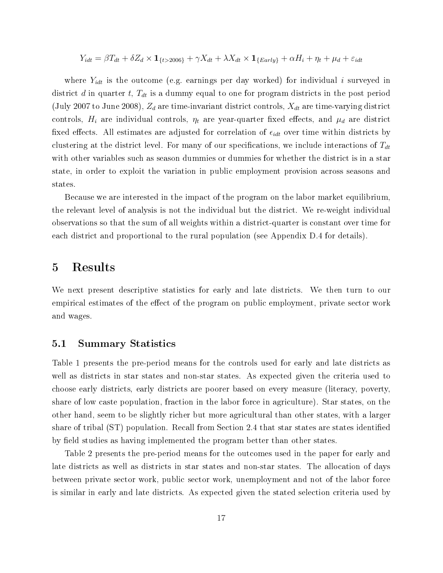$$
Y_{idt} = \beta T_{dt} + \delta Z_d \times \mathbf{1}_{\{t > 2006\}} + \gamma X_{dt} + \lambda X_{dt} \times \mathbf{1}_{\{Early\}} + \alpha H_i + \eta_t + \mu_d + \varepsilon_{idt}
$$

where  $Y_{idt}$  is the outcome (e.g. earnings per day worked) for individual i surveyed in district d in quarter t,  $T_{dt}$  is a dummy equal to one for program districts in the post period (July 2007 to June 2008),  $Z_d$  are time-invariant district controls,  $X_{dt}$  are time-varying district controls,  $H_i$  are individual controls,  $\eta_t$  are year-quarter fixed effects, and  $\mu_d$  are district fixed effects. All estimates are adjusted for correlation of  $\epsilon_{idt}$  over time within districts by clustering at the district level. For many of our specifications, we include interactions of  $T_{dt}$ with other variables such as season dummies or dummies for whether the district is in a star state, in order to exploit the variation in public employment provision across seasons and states.

Because we are interested in the impact of the program on the labor market equilibrium, the relevant level of analysis is not the individual but the district. We re-weight individual observations so that the sum of all weights within a district-quarter is constant over time for each district and proportional to the rural population (see Appendix D.4 for details).

### 5 Results

We next present descriptive statistics for early and late districts. We then turn to our empirical estimates of the effect of the program on public employment, private sector work and wages.

### 5.1 Summary Statistics

Table 1 presents the pre-period means for the controls used for early and late districts as well as districts in star states and non-star states. As expected given the criteria used to choose early districts, early districts are poorer based on every measure (literacy, poverty, share of low caste population, fraction in the labor force in agriculture). Star states, on the other hand, seem to be slightly richer but more agricultural than other states, with a larger share of tribal (ST) population. Recall from Section 2.4 that star states are states identified by field studies as having implemented the program better than other states.

Table 2 presents the pre-period means for the outcomes used in the paper for early and late districts as well as districts in star states and non-star states. The allocation of days between private sector work, public sector work, unemployment and not of the labor force is similar in early and late districts. As expected given the stated selection criteria used by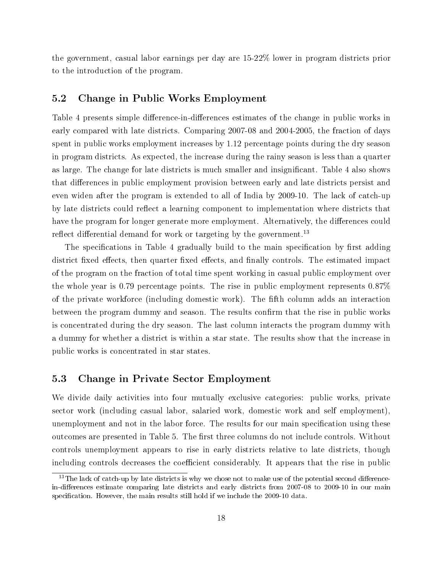the government, casual labor earnings per day are 15-22% lower in program districts prior to the introduction of the program.

### 5.2 Change in Public Works Employment

Table 4 presents simple difference-in-differences estimates of the change in public works in early compared with late districts. Comparing 2007-08 and 2004-2005, the fraction of days spent in public works employment increases by 1.12 percentage points during the dry season in program districts. As expected, the increase during the rainy season is less than a quarter as large. The change for late districts is much smaller and insignicant. Table 4 also shows that differences in public employment provision between early and late districts persist and even widen after the program is extended to all of India by 2009-10. The lack of catch-up by late districts could reflect a learning component to implementation where districts that have the program for longer generate more employment. Alternatively, the differences could reflect differential demand for work or targeting by the government.<sup>13</sup>

The specifications in Table 4 gradually build to the main specification by first adding district fixed effects, then quarter fixed effects, and finally controls. The estimated impact of the program on the fraction of total time spent working in casual public employment over the whole year is 0.79 percentage points. The rise in public employment represents 0.87% of the private workforce (including domestic work). The fth column adds an interaction between the program dummy and season. The results confirm that the rise in public works is concentrated during the dry season. The last column interacts the program dummy with a dummy for whether a district is within a star state. The results show that the increase in public works is concentrated in star states.

### 5.3 Change in Private Sector Employment

We divide daily activities into four mutually exclusive categories: public works, private sector work (including casual labor, salaried work, domestic work and self employment), unemployment and not in the labor force. The results for our main specification using these outcomes are presented in Table 5. The first three columns do not include controls. Without controls unemployment appears to rise in early districts relative to late districts, though including controls decreases the coefficient considerably. It appears that the rise in public

 $13$ The lack of catch-up by late districts is why we chose not to make use of the potential second differencein-differences estimate comparing late districts and early districts from 2007-08 to 2009-10 in our main specification. However, the main results still hold if we include the 2009-10 data.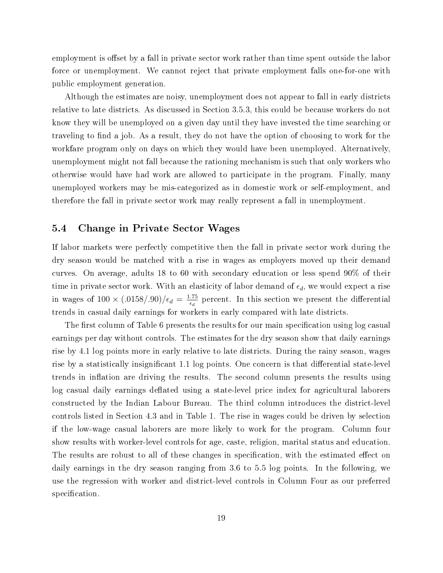employment is offset by a fall in private sector work rather than time spent outside the labor force or unemployment. We cannot reject that private employment falls one-for-one with public employment generation.

Although the estimates are noisy, unemployment does not appear to fall in early districts relative to late districts. As discussed in Section 3.5.3, this could be because workers do not know they will be unemployed on a given day until they have invested the time searching or traveling to find a job. As a result, they do not have the option of choosing to work for the workfare program only on days on which they would have been unemployed. Alternatively, unemployment might not fall because the rationing mechanism is such that only workers who otherwise would have had work are allowed to participate in the program. Finally, many unemployed workers may be mis-categorized as in domestic work or self-employment, and therefore the fall in private sector work may really represent a fall in unemployment.

### 5.4 Change in Private Sector Wages

If labor markets were perfectly competitive then the fall in private sector work during the dry season would be matched with a rise in wages as employers moved up their demand curves. On average, adults 18 to 60 with secondary education or less spend 90% of their time in private sector work. With an elasticity of labor demand of  $\epsilon_d$ , we would expect a rise in wages of  $100 \times (.0158/.90)/\epsilon_d = \frac{1.75}{\epsilon_d}$  $\frac{.75}{\epsilon_d}$  percent. In this section we present the differential trends in casual daily earnings for workers in early compared with late districts.

The first column of Table 6 presents the results for our main specification using log casual earnings per day without controls. The estimates for the dry season show that daily earnings rise by 4.1 log points more in early relative to late districts. During the rainy season, wages rise by a statistically insignificant 1.1 log points. One concern is that differential state-level trends in inflation are driving the results. The second column presents the results using log casual daily earnings deflated using a state-level price index for agricultural laborers constructed by the Indian Labour Bureau. The third column introduces the district-level controls listed in Section 4.3 and in Table 1. The rise in wages could be driven by selection if the low-wage casual laborers are more likely to work for the program. Column four show results with worker-level controls for age, caste, religion, marital status and education. The results are robust to all of these changes in specification, with the estimated effect on daily earnings in the dry season ranging from 3.6 to 5.5 log points. In the following, we use the regression with worker and district-level controls in Column Four as our preferred specification.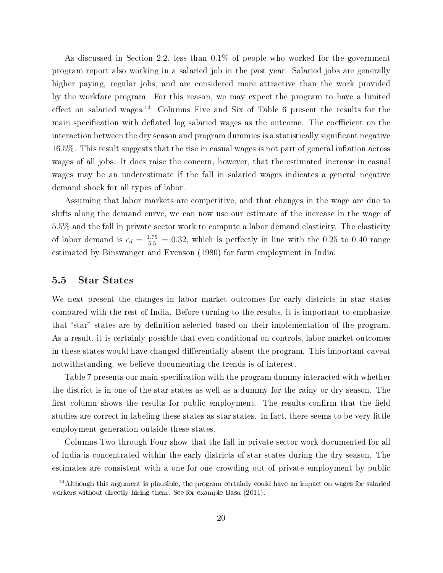As discussed in Section 2.2, less than 0.1% of people who worked for the government program report also working in a salaried job in the past year. Salaried jobs are generally higher paying, regular jobs, and are considered more attractive than the work provided by the workfare program. For this reason, we may expect the program to have a limited effect on salaried wages.<sup>14</sup> Columns Five and Six of Table 6 present the results for the main specification with deflated log salaried wages as the outcome. The coefficient on the interaction between the dry season and program dummies is a statistically significant negative 16.5%. This result suggests that the rise in casual wages is not part of general inflation across wages of all jobs. It does raise the concern, however, that the estimated increase in casual wages may be an underestimate if the fall in salaried wages indicates a general negative demand shock for all types of labor.

Assuming that labor markets are competitive, and that changes in the wage are due to shifts along the demand curve, we can now use our estimate of the increase in the wage of 5.5% and the fall in private sector work to compute a labor demand elasticity. The elasticity of labor demand is  $\epsilon_d = \frac{1.75}{5.5} = 0.32$ , which is perfectly in line with the 0.25 to 0.40 range estimated by Binswanger and Evenson (1980) for farm employment in India.

### 5.5 Star States

We next present the changes in labor market outcomes for early districts in star states compared with the rest of India. Before turning to the results, it is important to emphasize that "star" states are by definition selected based on their implementation of the program. As a result, it is certainly possible that even conditional on controls, labor market outcomes in these states would have changed differentially absent the program. This important caveat notwithstanding, we believe documenting the trends is of interest.

Table 7 presents our main specification with the program dummy interacted with whether the district is in one of the star states as well as a dummy for the rainy or dry season. The first column shows the results for public employment. The results confirm that the field studies are correct in labeling these states as star states. In fact, there seems to be very little employment generation outside these states.

Columns Two through Four show that the fall in private sector work documented for all of India is concentrated within the early districts of star states during the dry season. The estimates are consistent with a one-for-one crowding out of private employment by public

<sup>&</sup>lt;sup>14</sup>Although this argument is plausible, the program certainly could have an impact on wages for salaried workers without directly hiring them. See for example Basu (2011).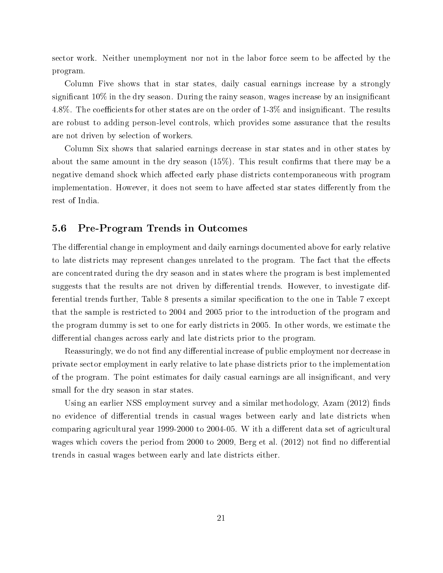sector work. Neither unemployment nor not in the labor force seem to be affected by the program.

Column Five shows that in star states, daily casual earnings increase by a strongly significant  $10\%$  in the dry season. During the rainy season, wages increase by an insignificant 4.8%. The coefficients for other states are on the order of  $1-3\%$  and insignificant. The results are robust to adding person-level controls, which provides some assurance that the results are not driven by selection of workers.

Column Six shows that salaried earnings decrease in star states and in other states by about the same amount in the dry season  $(15\%)$ . This result confirms that there may be a negative demand shock which affected early phase districts contemporaneous with program implementation. However, it does not seem to have affected star states differently from the rest of India.

### 5.6 Pre-Program Trends in Outcomes

The differential change in employment and daily earnings documented above for early relative to late districts may represent changes unrelated to the program. The fact that the effects are concentrated during the dry season and in states where the program is best implemented suggests that the results are not driven by differential trends. However, to investigate differential trends further, Table 8 presents a similar specification to the one in Table 7 except that the sample is restricted to 2004 and 2005 prior to the introduction of the program and the program dummy is set to one for early districts in 2005. In other words, we estimate the differential changes across early and late districts prior to the program.

Reassuringly, we do not find any differential increase of public employment nor decrease in private sector employment in early relative to late phase districts prior to the implementation of the program. The point estimates for daily casual earnings are all insignicant, and very small for the dry season in star states.

Using an earlier NSS employment survey and a similar methodology,  $Azam$  (2012) finds no evidence of differential trends in casual wages between early and late districts when comparing agricultural year 1999-2000 to 2004-05. W ith a different data set of agricultural wages which covers the period from 2000 to 2009, Berg et al.  $(2012)$  not find no differential trends in casual wages between early and late districts either.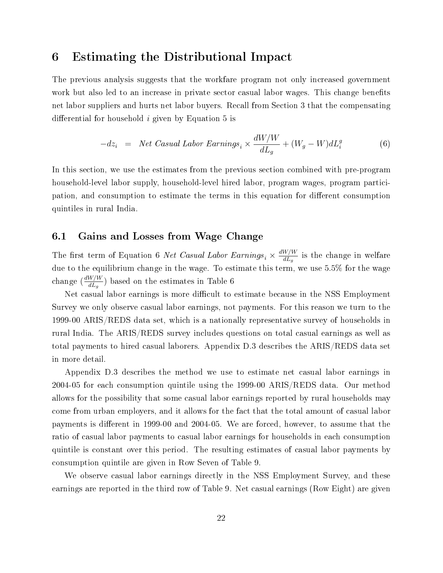## 6 Estimating the Distributional Impact

The previous analysis suggests that the workfare program not only increased government work but also led to an increase in private sector casual labor wages. This change benefits net labor suppliers and hurts net labor buyers. Recall from Section 3 that the compensating differential for household  $i$  given by Equation 5 is

$$
-dz_i = Net Casual Labor Earning_s \times \frac{dW/W}{dL_g} + (W_g - W)dL_i^g \tag{6}
$$

In this section, we use the estimates from the previous section combined with pre-program household-level labor supply, household-level hired labor, program wages, program participation, and consumption to estimate the terms in this equation for different consumption quintiles in rural India.

### 6.1 Gains and Losses from Wage Change

The first term of Equation 6 Net Casual Labor Earnings<sub>i</sub>  $\times \frac{dW/W}{dL_a}$  $\frac{W/W}{dL_g}$  is the change in welfare due to the equilibrium change in the wage. To estimate this term, we use 5.5% for the wage change  $\left(\frac{dW/W}{dL}\right)$  $\frac{W/W}{dL_g}$ ) based on the estimates in Table 6

Net casual labor earnings is more difficult to estimate because in the NSS Employment Survey we only observe casual labor earnings, not payments. For this reason we turn to the 1999-00 ARIS/REDS data set, which is a nationally representative survey of households in rural India. The ARIS/REDS survey includes questions on total casual earnings as well as total payments to hired casual laborers. Appendix D.3 describes the ARIS/REDS data set in more detail.

Appendix D.3 describes the method we use to estimate net casual labor earnings in 2004-05 for each consumption quintile using the 1999-00 ARIS/REDS data. Our method allows for the possibility that some casual labor earnings reported by rural households may come from urban employers, and it allows for the fact that the total amount of casual labor payments is different in 1999-00 and 2004-05. We are forced, however, to assume that the ratio of casual labor payments to casual labor earnings for households in each consumption quintile is constant over this period. The resulting estimates of casual labor payments by consumption quintile are given in Row Seven of Table 9.

We observe casual labor earnings directly in the NSS Employment Survey, and these earnings are reported in the third row of Table 9. Net casual earnings (Row Eight) are given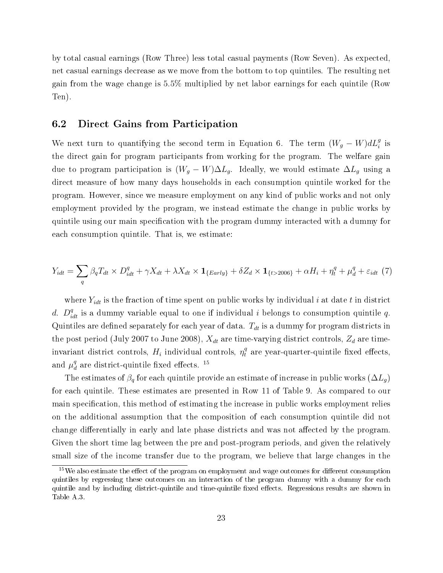by total casual earnings (Row Three) less total casual payments (Row Seven). As expected, net casual earnings decrease as we move from the bottom to top quintiles. The resulting net gain from the wage change is 5.5% multiplied by net labor earnings for each quintile (Row Ten).

### 6.2 Direct Gains from Participation

We next turn to quantifying the second term in Equation 6. The term  $(W_g - W) dL_i^g$  is the direct gain for program participants from working for the program. The welfare gain due to program participation is  $(W_g - W)\Delta L_g$ . Ideally, we would estimate  $\Delta L_g$  using a direct measure of how many days households in each consumption quintile worked for the program. However, since we measure employment on any kind of public works and not only employment provided by the program, we instead estimate the change in public works by quintile using our main specification with the program dummy interacted with a dummy for each consumption quintile. That is, we estimate:

$$
Y_{idt} = \sum_{q} \beta_q T_{dt} \times D_{idt}^q + \gamma X_{dt} + \lambda X_{dt} \times \mathbf{1}_{\{Early\}} + \delta Z_d \times \mathbf{1}_{\{t > 2006\}} + \alpha H_i + \eta_t^q + \mu_d^q + \varepsilon_{idt} \tag{7}
$$

where  $Y_{idt}$  is the fraction of time spent on public works by individual i at date t in district d.  $D_{idt}^q$  is a dummy variable equal to one if individual i belongs to consumption quintile q. Quintiles are defined separately for each year of data.  $T_{dt}$  is a dummy for program districts in the post period (July 2007 to June 2008),  $X_{dt}$  are time-varying district controls,  $Z_d$  are timeinvariant district controls,  $H_i$  individual controls,  $\eta^q_t$  are year-quarter-quintile fixed effects, and  $\mu_d^q$  $\frac{q}{d}$  are district-quintile fixed effects.  $^{15}$ 

The estimates of  $\beta_q$  for each quintile provide an estimate of increase in public works  $(\Delta L_q)$ for each quintile. These estimates are presented in Row 11 of Table 9. As compared to our main specification, this method of estimating the increase in public works employment relies on the additional assumption that the composition of each consumption quintile did not change differentially in early and late phase districts and was not affected by the program. Given the short time lag between the pre and post-program periods, and given the relatively small size of the income transfer due to the program, we believe that large changes in the

 $15$ We also estimate the effect of the program on employment and wage outcomes for different consumption quintiles by regressing these outcomes on an interaction of the program dummy with a dummy for each quintile and by including district-quintile and time-quintile fixed effects. Regressions results are shown in Table A.3.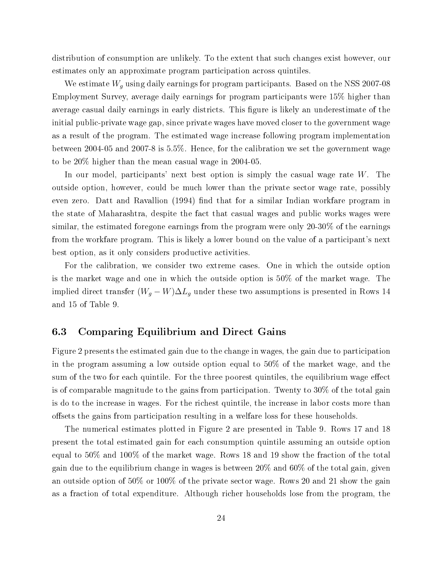distribution of consumption are unlikely. To the extent that such changes exist however, our estimates only an approximate program participation across quintiles.

We estimate  $W_g$  using daily earnings for program participants. Based on the NSS 2007-08 Employment Survey, average daily earnings for program participants were 15% higher than average casual daily earnings in early districts. This figure is likely an underestimate of the initial public-private wage gap, since private wages have moved closer to the government wage as a result of the program. The estimated wage increase following program implementation between 2004-05 and 2007-8 is 5.5%. Hence, for the calibration we set the government wage to be 20% higher than the mean casual wage in 2004-05.

In our model, participants' next best option is simply the casual wage rate  $W$ . The outside option, however, could be much lower than the private sector wage rate, possibly even zero. Datt and Ravallion (1994) find that for a similar Indian workfare program in the state of Maharashtra, despite the fact that casual wages and public works wages were similar, the estimated foregone earnings from the program were only 20-30% of the earnings from the workfare program. This is likely a lower bound on the value of a participant's next best option, as it only considers productive activities.

For the calibration, we consider two extreme cases. One in which the outside option is the market wage and one in which the outside option is 50% of the market wage. The implied direct transfer  $(W_g - W) \Delta L_g$  under these two assumptions is presented in Rows 14 and 15 of Table 9.

### 6.3 Comparing Equilibrium and Direct Gains

Figure 2 presents the estimated gain due to the change in wages, the gain due to participation in the program assuming a low outside option equal to 50% of the market wage, and the sum of the two for each quintile. For the three poorest quintiles, the equilibrium wage effect is of comparable magnitude to the gains from participation. Twenty to 30% of the total gain is do to the increase in wages. For the richest quintile, the increase in labor costs more than offsets the gains from participation resulting in a welfare loss for these households.

The numerical estimates plotted in Figure 2 are presented in Table 9. Rows 17 and 18 present the total estimated gain for each consumption quintile assuming an outside option equal to 50% and 100% of the market wage. Rows 18 and 19 show the fraction of the total gain due to the equilibrium change in wages is between 20% and 60% of the total gain, given an outside option of 50% or 100% of the private sector wage. Rows 20 and 21 show the gain as a fraction of total expenditure. Although richer households lose from the program, the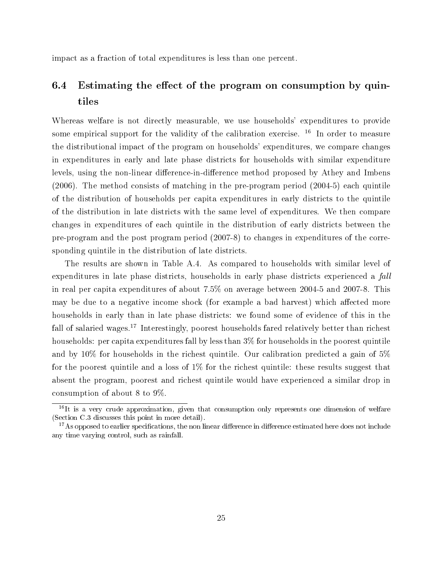impact as a fraction of total expenditures is less than one percent.

## 6.4 Estimating the effect of the program on consumption by quintiles

Whereas welfare is not directly measurable, we use households' expenditures to provide some empirical support for the validity of the calibration exercise.  $16$  In order to measure the distributional impact of the program on households' expenditures, we compare changes in expenditures in early and late phase districts for households with similar expenditure levels, using the non-linear difference-in-difference method proposed by Athey and Imbens (2006). The method consists of matching in the pre-program period (2004-5) each quintile of the distribution of households per capita expenditures in early districts to the quintile of the distribution in late districts with the same level of expenditures. We then compare changes in expenditures of each quintile in the distribution of early districts between the pre-program and the post program period (2007-8) to changes in expenditures of the corresponding quintile in the distribution of late districts.

The results are shown in Table A.4. As compared to households with similar level of expenditures in late phase districts, households in early phase districts experienced a fall in real per capita expenditures of about 7.5% on average between 2004-5 and 2007-8. This may be due to a negative income shock (for example a bad harvest) which affected more households in early than in late phase districts: we found some of evidence of this in the fall of salaried wages.<sup>17</sup> Interestingly, poorest households fared relatively better than richest households: per capita expenditures fall by less than  $3\%$  for households in the poorest quintile and by 10% for households in the richest quintile. Our calibration predicted a gain of 5% for the poorest quintile and a loss of 1% for the richest quintile: these results suggest that absent the program, poorest and richest quintile would have experienced a similar drop in consumption of about 8 to 9%.

 $16$ It is a very crude approximation, given that consumption only represents one dimension of welfare (Section C.3 discusses this point in more detail).

 $17\text{ As opposed to earlier specifications, the non-linear difference in difference estimated here does not include }$ any time varying control, such as rainfall.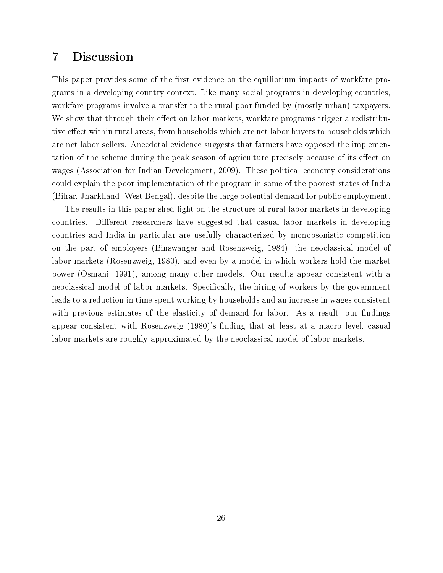## 7 Discussion

This paper provides some of the first evidence on the equilibrium impacts of workfare programs in a developing country context. Like many social programs in developing countries, workfare programs involve a transfer to the rural poor funded by (mostly urban) taxpayers. We show that through their effect on labor markets, workfare programs trigger a redistributive effect within rural areas, from households which are net labor buyers to households which are net labor sellers. Anecdotal evidence suggests that farmers have opposed the implementation of the scheme during the peak season of agriculture precisely because of its effect on wages (Association for Indian Development, 2009). These political economy considerations could explain the poor implementation of the program in some of the poorest states of India (Bihar, Jharkhand, West Bengal), despite the large potential demand for public employment.

The results in this paper shed light on the structure of rural labor markets in developing countries. Different researchers have suggested that casual labor markets in developing countries and India in particular are usefully characterized by monopsonistic competition on the part of employers (Binswanger and Rosenzweig, 1984), the neoclassical model of labor markets (Rosenzweig, 1980), and even by a model in which workers hold the market power (Osmani, 1991), among many other models. Our results appear consistent with a neoclassical model of labor markets. Specifically, the hiring of workers by the government leads to a reduction in time spent working by households and an increase in wages consistent with previous estimates of the elasticity of demand for labor. As a result, our findings appear consistent with Rosenzweig (1980)'s finding that at least at a macro level, casual labor markets are roughly approximated by the neoclassical model of labor markets.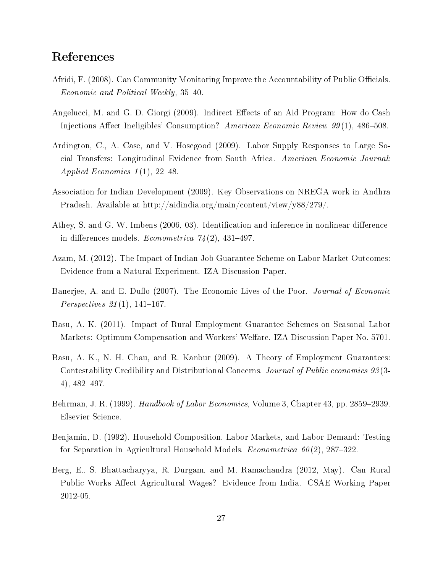## References

- Afridi, F. (2008). Can Community Monitoring Improve the Accountability of Public Officials. Economic and Political Weekly, 35–40.
- Angelucci, M. and G. D. Giorgi (2009). Indirect Effects of an Aid Program: How do Cash Injections Affect Ineligibles' Consumption? American Economic Review  $99(1)$ , 486–508.
- Ardington, C., A. Case, and V. Hosegood (2009). Labor Supply Responses to Large Social Transfers: Longitudinal Evidence from South Africa. American Economic Journal: Applied Economics  $1(1)$ , 22-48.
- Association for Indian Development (2009). Key Observations on NREGA work in Andhra Pradesh. Available at http://aidindia.org/main/content/view/y88/279/.
- Athey, S. and G. W. Imbens (2006, 03). Identification and inference in nonlinear differencein-differences models. Econometrica  $7/4(2)$ , 431-497.
- Azam, M. (2012). The Impact of Indian Job Guarantee Scheme on Labor Market Outcomes: Evidence from a Natural Experiment. IZA Discussion Paper.
- Banerjee, A. and E. Duflo (2007). The Economic Lives of the Poor. Journal of Economic *Perspectives* 21(1), 141-167.
- Basu, A. K. (2011). Impact of Rural Employment Guarantee Schemes on Seasonal Labor Markets: Optimum Compensation and Workers' Welfare. IZA Discussion Paper No. 5701.
- Basu, A. K., N. H. Chau, and R. Kanbur (2009). A Theory of Employment Guarantees: Contestability Credibility and Distributional Concerns. Journal of Public economics 93 (3-  $4)$ ,  $482-497$ .
- Behrman, J. R. (1999). *Handbook of Labor Economics*, Volume 3, Chapter 43, pp. 2859–2939. Elsevier Science.
- Benjamin, D. (1992). Household Composition, Labor Markets, and Labor Demand: Testing for Separation in Agricultural Household Models. *Econometrica 60(2)*, 287-322.
- Berg, E., S. Bhattacharyya, R. Durgam, and M. Ramachandra (2012, May). Can Rural Public Works Affect Agricultural Wages? Evidence from India. CSAE Working Paper 2012-05.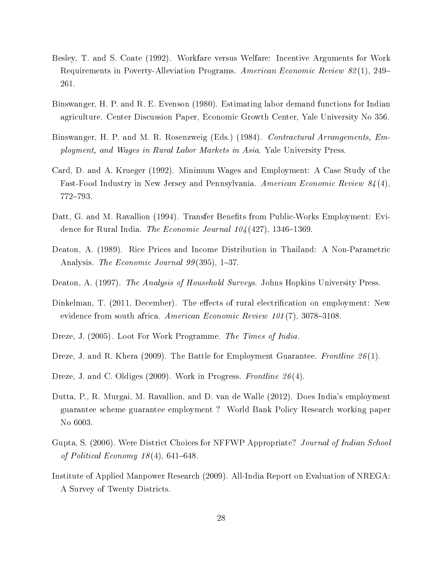- Besley, T. and S. Coate (1992). Workfare versus Welfare: Incentive Arguments for Work Requirements in Poverty-Alleviation Programs. American Economic Review 82(1), 249– 261.
- Binswanger, H. P. and R. E. Evenson (1980). Estimating labor demand functions for Indian agriculture. Center Discussion Paper, Economic Growth Center, Yale University No 356.
- Binswanger, H. P. and M. R. Rosenzweig (Eds.) (1984). *Contractural Arrangements, Em*ployment, and Wages in Rural Labor Markets in Asia. Yale University Press.
- Card, D. and A. Krueger (1992). Minimum Wages and Employment: A Case Study of the Fast-Food Industry in New Jersey and Pennsylvania. American Economic Review 84 (4), 772-793.
- Datt, G. and M. Ravallion (1994). Transfer Benefits from Public-Works Employment: Evidence for Rural India. The Economic Journal  $104(427)$ , 1346–1369.
- Deaton, A. (1989). Rice Prices and Income Distribution in Thailand: A Non-Parametric Analysis. The Economic Journal 99(395), 1–37.
- Deaton, A. (1997). The Analysis of Household Surveys. Johns Hopkins University Press.
- Dinkelman, T. (2011, December). The effects of rural electrification on employment: New evidence from south africa. American Economic Review  $101(7)$ , 3078-3108.
- Dreze, J. (2005). Loot For Work Programme. The Times of India.
- Dreze, J. and R. Khera (2009). The Battle for Employment Guarantee. Frontline 26(1).
- Dreze, J. and C. Oldiges (2009). Work in Progress. Frontline 26(4).
- Dutta, P., R. Murgai, M. Ravallion, and D. van de Walle (2012). Does India's employment guarantee scheme guarantee employment ? World Bank Policy Research working paper No 6003.
- Gupta, S. (2006). Were District Choices for NFFWP Appropriate? Journal of Indian School of Political Economy  $18(4)$ , 641–648.
- Institute of Applied Manpower Research (2009). All-India Report on Evaluation of NREGA: A Survey of Twenty Districts.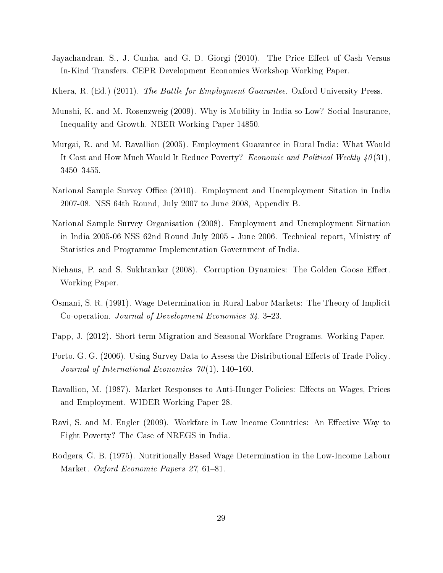- Jayachandran, S., J. Cunha, and G. D. Giorgi (2010). The Price Effect of Cash Versus In-Kind Transfers. CEPR Development Economics Workshop Working Paper.
- Khera, R. (Ed.) (2011). The Battle for Employment Guarantee. Oxford University Press.
- Munshi, K. and M. Rosenzweig (2009). Why is Mobility in India so Low? Social Insurance, Inequality and Growth. NBER Working Paper 14850.
- Murgai, R. and M. Ravallion (2005). Employment Guarantee in Rural India: What Would It Cost and How Much Would It Reduce Poverty? Economic and Political Weekly  $40(31)$ , 3450-3455.
- National Sample Survey Office (2010). Employment and Unemployment Sitation in India 2007-08. NSS 64th Round, July 2007 to June 2008, Appendix B.
- National Sample Survey Organisation (2008). Employment and Unemployment Situation in India 2005-06 NSS 62nd Round July 2005 - June 2006. Technical report, Ministry of Statistics and Programme Implementation Government of India.
- Niehaus, P. and S. Sukhtankar (2008). Corruption Dynamics: The Golden Goose Effect. Working Paper.
- Osmani, S. R. (1991). Wage Determination in Rural Labor Markets: The Theory of Implicit Co-operation. Journal of Development Economics  $34, 3-23$ .
- Papp, J. (2012). Short-term Migration and Seasonal Workfare Programs. Working Paper.
- Porto, G. G. (2006). Using Survey Data to Assess the Distributional Effects of Trade Policy. Journal of International Economics  $70(1)$ , 140-160.
- Ravallion, M. (1987). Market Responses to Anti-Hunger Policies: Effects on Wages, Prices and Employment. WIDER Working Paper 28.
- Ravi, S. and M. Engler (2009). Workfare in Low Income Countries: An Effective Way to Fight Poverty? The Case of NREGS in India.
- Rodgers, G. B. (1975). Nutritionally Based Wage Determination in the Low-Income Labour Market. Oxford Economic Papers 27, 61-81.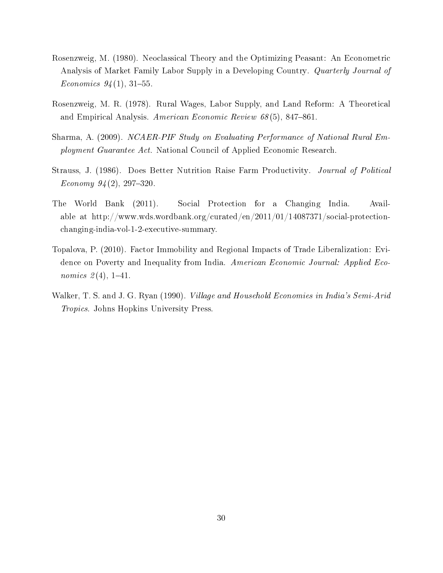- Rosenzweig, M. (1980). Neoclassical Theory and the Optimizing Peasant: An Econometric Analysis of Market Family Labor Supply in a Developing Country. Quarterly Journal of Economics  $94(1)$ , 31-55.
- Rosenzweig, M. R. (1978). Rural Wages, Labor Supply, and Land Reform: A Theoretical and Empirical Analysis. American Economic Review  $68(5)$ , 847-861.
- Sharma, A. (2009). NCAER-PIF Study on Evaluating Performance of National Rural Employment Guarantee Act. National Council of Applied Economic Research.
- Strauss, J. (1986). Does Better Nutrition Raise Farm Productivity. Journal of Political Economy  $94(2)$ , 297-320.
- The World Bank (2011). Social Protection for a Changing India. Available at http://www.wds.wordbank.org/curated/en/2011/01/14087371/social-protectionchanging-india-vol-1-2-executive-summary.
- Topalova, P. (2010). Factor Immobility and Regional Impacts of Trade Liberalization: Evidence on Poverty and Inequality from India. American Economic Journal: Applied Eco*nomics*  $2(4)$ , 1-41.
- Walker, T. S. and J. G. Ryan (1990). *Village and Household Economies in India's Semi-Arid* Tropics. Johns Hopkins University Press.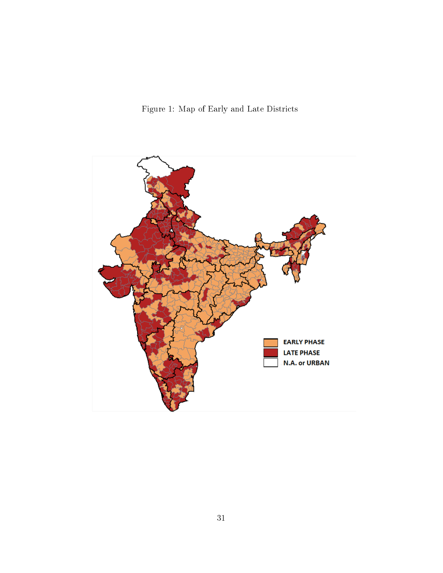Figure 1: Map of Early and Late Districts

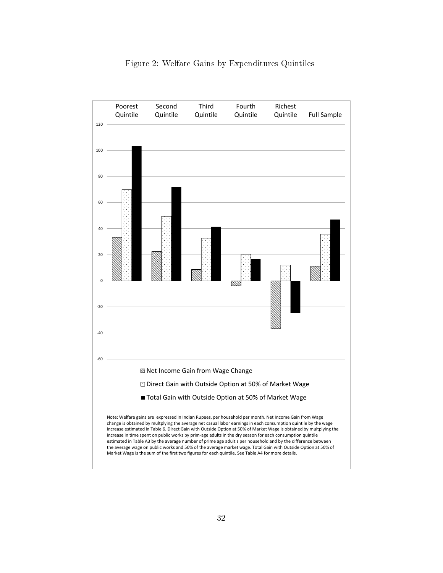

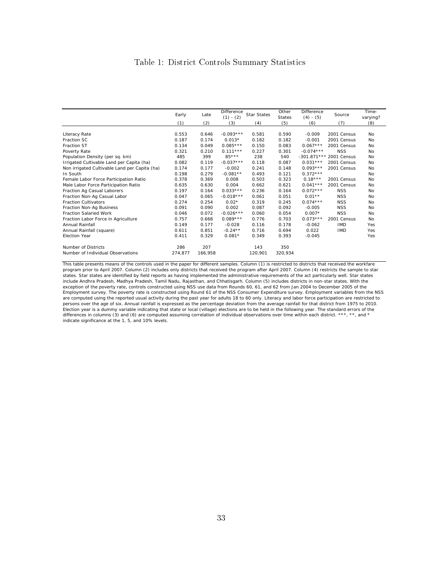### Table 1: District Controls Summary Statistics

|                                               | Early   | Late    | Difference<br>$(1) - (2)$ | <b>Star States</b> | Other<br><b>States</b> | Difference<br>$(4) - (5)$ | Source      | Time-<br>varying? |
|-----------------------------------------------|---------|---------|---------------------------|--------------------|------------------------|---------------------------|-------------|-------------------|
|                                               | (1)     | (2)     | (3)                       | (4)                | (5)                    | (6)                       | (7)         | (8)               |
|                                               |         |         |                           |                    |                        |                           |             |                   |
| Literacy Rate                                 | 0.553   | 0.646   | $-0.093***$               | 0.581              | 0.590                  | $-0.009$                  | 2001 Census | No                |
| Fraction SC                                   | 0.187   | 0.174   | $0.013*$                  | 0.182              | 0.182                  | $-0.001$                  | 2001 Census | No                |
| <b>Fraction ST</b>                            | 0.134   | 0.049   | $0.085***$                | 0.150              | 0.083                  | $0.067***$                | 2001 Census | No.               |
| Poverty Rate                                  | 0.321   | 0.210   | $0.111***$                | 0.227              | 0.301                  | $-0.074***$               | <b>NSS</b>  | No                |
| Population Density (per sq. km)               | 485     | 399     | $85***$                   | 238                | 540                    | $-301.871***$             | 2001 Census | No                |
| Irrigated Cultivable Land per Capita (ha)     | 0.082   | 0.119   | $-0.037***$               | 0.118              | 0.087                  | $0.031***$                | 2001 Census | No                |
| Non irrigated Cultivable Land per Capita (ha) | 0.174   | 0.177   | $-0.002$                  | 0.241              | 0.148                  | $0.093***$                | 2001 Census | No                |
| In South                                      | 0.198   | 0.279   | $-0.081**$                | 0.493              | 0.121                  | $0.372***$                |             | <b>No</b>         |
| Female Labor Force Participation Ratio        | 0.378   | 0.369   | 0.008                     | 0.503              | 0.323                  | $0.18***$                 | 2001 Census | No                |
| Male Labor Force Participation Ratio          | 0.635   | 0.630   | 0.004                     | 0.662              | 0.621                  | $0.041***$                | 2001 Census | No                |
| Fraction Ag Casual Laborers                   | 0.197   | 0.164   | $0.033***$                | 0.236              | 0.164                  | $0.072***$                | <b>NSS</b>  | No                |
| Fraction Non-Ag Casual Labor                  | 0.047   | 0.065   | $-0.018***$               | 0.061              | 0.051                  | $0.01**$                  | <b>NSS</b>  | No                |
| <b>Fraction Cultivators</b>                   | 0.274   | 0.254   | $0.02*$                   | 0.319              | 0.245                  | $0.074***$                | <b>NSS</b>  | No                |
| Fraction Non-Ag Business                      | 0.091   | 0.090   | 0.002                     | 0.087              | 0.092                  | $-0.005$                  | <b>NSS</b>  | No                |
| <b>Fraction Salaried Work</b>                 | 0.046   | 0.072   | $-0.026***$               | 0.060              | 0.054                  | $0.007*$                  | <b>NSS</b>  | No                |
| Fraction Labor Force in Agriculture           | 0.757   | 0.668   | $0.089***$                | 0.776              | 0.703                  | $0.073***$                | 2001 Census | No                |
| Annual Rainfall                               | 0.149   | 0.177   | $-0.028$                  | 0.116              | 0.178                  | $-0.062$                  | <b>IMD</b>  | Yes               |
| Annual Rainfall (square)                      | 0.611   | 0.851   | $-0.24**$                 | 0.716              | 0.694                  | 0.022                     | <b>IMD</b>  | Yes               |
| Election Year                                 | 0.411   | 0.329   | $0.081*$                  | 0.349              | 0.393                  | $-0.045$                  |             | Yes               |
| Number of Districts                           | 286     | 207     |                           | 143                | 350                    |                           |             |                   |
| Number of Individual Observations             | 274,877 | 166.958 |                           | 120,901            | 320,934                |                           |             |                   |

This table presents means of the controls used in the paper for different samples. Column (1) is restricted to districts that received the workfare<br>program prior to April 2007. Column (2) includes only districts that recei states. Star states are identified by field reports as having implemented the administrative requirements of the act particularly well. Star states<br>include Andhra Pradesh, Madhya Pradesh, Tamil Nadu, Rajasthan, and Chhatis exception of the poverty rate, controls constructed using NSS use data from Rounds 60, 61, and 62 from Jan 2004 to December 2005 of the Employment survey. The poverty rate is constructed using Round 61 of the NSS Consumer Expenditure survey. Employment variables from the NSS are computed using the reported usual activity during the past year for adults 18 to 60 only. Literacy and labor force participation are restricted to persons over the age of six. Annual rainfall is expressed as the percentage deviation from the average rainfall for that district from 1975 to 2010. Election year is a dummy variable indicating that state or local (village) elections are to be held in the following year. The standard errors of the differences in columns (3) and (6) are computed assuming correlation of individual observations over time within each district. \*\*\*, \*\*, and \* indicate significance at the 1, 5, and 10% levels.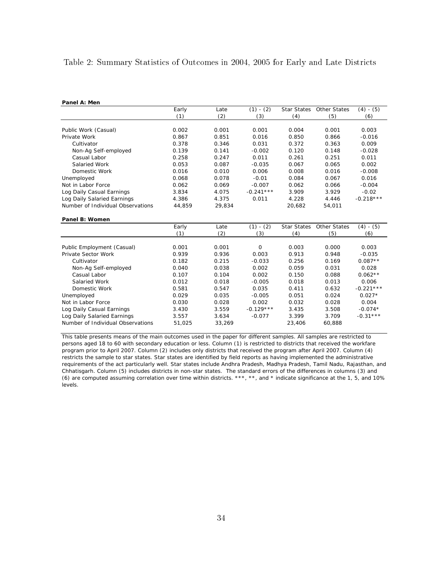### Table 2: Summary Statistics of Outcomes in 2004, 2005 for Early and Late Districts

| Panel A: Men                      |        |        |             |                    |                          |             |
|-----------------------------------|--------|--------|-------------|--------------------|--------------------------|-------------|
|                                   | Early  | Late   | $(1) - (2)$ |                    | Star States Other States | $(4) - (5)$ |
|                                   | (1)    | (2)    | (3)         | (4)                | (5)                      | (6)         |
|                                   |        |        |             |                    |                          |             |
| Public Work (Casual)              | 0.002  | 0.001  | 0.001       | 0.004              | 0.001                    | 0.003       |
| Private Work                      | 0.867  | 0.851  | 0.016       | 0.850              | 0.866                    | $-0.016$    |
| Cultivator                        | 0.378  | 0.346  | 0.031       | 0.372              | 0.363                    | 0.009       |
| Non-Ag Self-employed              | 0.139  | 0.141  | $-0.002$    | 0.120              | 0.148                    | $-0.028$    |
| Casual Labor                      | 0.258  | 0.247  | 0.011       | 0.261              | 0.251                    | 0.011       |
| Salaried Work                     | 0.053  | 0.087  | $-0.035$    | 0.067              | 0.065                    | 0.002       |
| Domestic Work                     | 0.016  | 0.010  | 0.006       | 0.008              | 0.016                    | $-0.008$    |
| Unemployed                        | 0.068  | 0.078  | $-0.01$     | 0.084              | 0.067                    | 0.016       |
| Not in Labor Force                | 0.062  | 0.069  | $-0.007$    | 0.062              | 0.066                    | $-0.004$    |
| Log Daily Casual Earnings         | 3.834  | 4.075  | $-0.241***$ | 3.909              | 3.929                    | $-0.02$     |
| Log Daily Salaried Earnings       | 4.386  | 4.375  | 0.011       | 4.228              | 4.446                    | $-0.218***$ |
| Number of Individual Observations | 44,859 | 29,834 |             | 20,682             | 54,011                   |             |
| Panel B: Women                    |        |        |             |                    |                          |             |
|                                   | Early  | Late   | $(1) - (2)$ | <b>Star States</b> | <b>Other States</b>      | $(4) - (5)$ |
|                                   | (1)    | (2)    | (3)         | (4)                | (5)                      | (6)         |
| Public Employment (Casual)        | 0.001  | 0.001  | $\mathbf 0$ | 0.003              | 0.000                    | 0.003       |
| <b>Private Sector Work</b>        | 0.939  | 0.936  | 0.003       | 0.913              | 0.948                    | $-0.035$    |
| Cultivator                        | 0.182  | 0.215  | $-0.033$    | 0.256              | 0.169                    | $0.087**$   |
| Non-Ag Self-employed              | 0.040  | 0.038  | 0.002       | 0.059              | 0.031                    | 0.028       |
| Casual Labor                      | 0.107  | 0.104  | 0.002       | 0.150              | 0.088                    | $0.062**$   |
| Salaried Work                     | 0.012  | 0.018  | $-0.005$    | 0.018              | 0.013                    | 0.006       |
| Domestic Work                     | 0.581  | 0.547  | 0.035       | 0.411              | 0.632                    | $-0.221***$ |
| Unemployed                        | 0.029  | 0.035  | $-0.005$    | 0.051              | 0.024                    | $0.027*$    |
| Not in Labor Force                | 0.030  | 0.028  | 0.002       | 0.032              | 0.028                    | 0.004       |
| Log Daily Casual Earnings         | 3.430  | 3.559  | $-0.129***$ | 3.435              | 3.508                    | $-0.074*$   |
| Log Daily Salaried Earnings       | 3.557  | 3.634  | $-0.077$    | 3.399              | 3.709                    | $-0.31***$  |
| Number of Individual Observations | 51,025 | 33,269 |             | 23,406             | 60,888                   |             |

This table presents means of the main outcomes used in the paper for different samples. All samples are restricted to persons aged 18 to 60 with secondary education or less. Column (1) is restricted to districts that received the workfare program prior to April 2007. Column (2) includes only districts that received the program after April 2007. Column (4) restricts the sample to star states. Star states are identified by field reports as having implemented the administrative requirements of the act particularly well. Star states include Andhra Pradesh, Madhya Pradesh, Tamil Nadu, Rajasthan, and Chhatisgarh. Column (5) includes districts in non-star states. The standard errors of the differences in columns (3) and (6) are computed assuming correlation over time within districts. \*\*\*, \*\*, and \* indicate significance at the 1, 5, and 10% levels.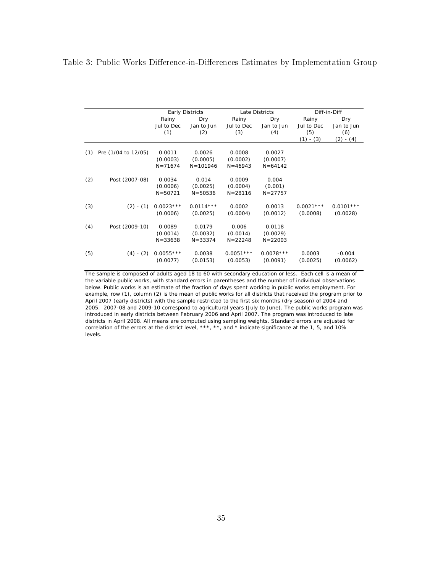### Table 3: Public Works Difference-in-Differences Estimates by Implementation Group

|     |                     |             | <b>Early Districts</b> |             | Late Districts |             | Diff-in-Diff |
|-----|---------------------|-------------|------------------------|-------------|----------------|-------------|--------------|
|     |                     | Rainy       | Dry                    | Rainy       | Dry            | Rainy       | Dry          |
|     |                     | Jul to Dec  | Jan to Jun             | Jul to Dec  | Jan to Jun     | Jul to Dec  | Jan to Jun   |
|     |                     | (1)         | (2)                    | (3)         | (4)            | (5)         | (6)          |
|     |                     |             |                        |             |                | $(1) - (3)$ | $(2) - (4)$  |
|     |                     |             |                        |             |                |             |              |
| (1) | Pre (1/04 to 12/05) | 0.0011      | 0.0026                 | 0.0008      | 0.0027         |             |              |
|     |                     | (0.0003)    | (0.0005)               | (0.0002)    | (0.0007)       |             |              |
|     |                     | $N = 71674$ | $N = 101946$           | $N = 46943$ | $N = 64142$    |             |              |
|     |                     |             |                        |             |                |             |              |
| (2) | Post (2007-08)      | 0.0034      | 0.014                  | 0.0009      | 0.004          |             |              |
|     |                     | (0.0006)    | (0.0025)               | (0.0004)    | (0.001)        |             |              |
|     |                     | $N = 50721$ | $N = 50536$            | $N = 28116$ | $N = 27757$    |             |              |
| (3) | $(2) - (1)$         | $0.0023***$ | $0.0114***$            | 0.0002      | 0.0013         | $0.0021***$ | $0.0101***$  |
|     |                     | (0.0006)    | (0.0025)               | (0.0004)    | (0.0012)       | (0.0008)    | (0.0028)     |
|     |                     |             |                        |             |                |             |              |
| (4) | Post (2009-10)      | 0.0089      | 0.0179                 | 0.006       | 0.0118         |             |              |
|     |                     | (0.0014)    | (0.0032)               | (0.0014)    | (0.0029)       |             |              |
|     |                     | $N = 33638$ | $N = 33374$            | $N = 22248$ | $N = 22003$    |             |              |
| (5) | $(4) - (2)$         | $0.0055***$ | 0.0038                 | $0.0051***$ | $0.0078***$    | 0.0003      | $-0.004$     |
|     |                     | (0.0077)    | (0.0153)               | (0.0053)    | (0.0091)       | (0.0025)    | (0.0062)     |
|     |                     |             |                        |             |                |             |              |

The sample is composed of adults aged 18 to 60 with secondary education or less. Each cell is a mean of the variable public works, with standard errors in parentheses and the number of individual observations below. Public works is an estimate of the fraction of days spent working in public works employment. For example, row (1), column (2) is the mean of public works for all districts that received the program prior to April 2007 (early districts) with the sample restricted to the first six months (dry season) of 2004 and 2005. 2007-08 and 2009-10 correspond to agricultural years (July to June). The public works program was introduced in early districts between February 2006 and April 2007. The program was introduced to late districts in April 2008. All means are computed using sampling weights. Standard errors are adjusted for correlation of the errors at the district level, \*\*\*, \*\*, and \* indicate significance at the 1, 5, and 10% levels.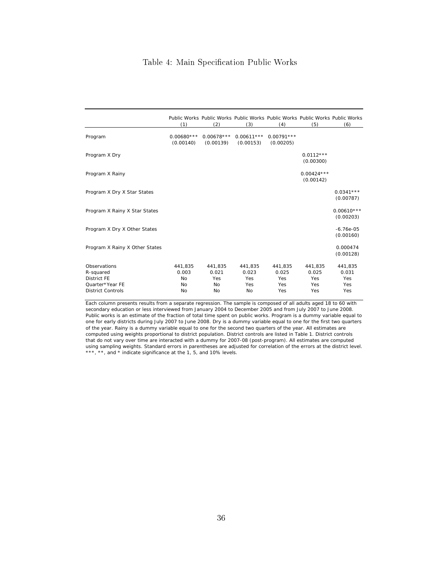### Table 4: Main Specification Public Works

|                                                                                                | (1)                                       | (2)                                        | Public Works Public Works Public Works Public Works Public Works Public Works<br>(3) | (4)                                   | (5)                                   | (6)                                   |
|------------------------------------------------------------------------------------------------|-------------------------------------------|--------------------------------------------|--------------------------------------------------------------------------------------|---------------------------------------|---------------------------------------|---------------------------------------|
| Program                                                                                        | $0.00680***$<br>(0.00140)                 | $0.00678***$<br>(0.00139)                  | (0.00153)                                                                            | $0.00611***$ 0.00791***<br>(0.00205)  |                                       |                                       |
| Program X Dry                                                                                  |                                           |                                            |                                                                                      |                                       | $0.0112***$<br>(0.00300)              |                                       |
| Program X Rainy                                                                                |                                           |                                            |                                                                                      |                                       | $0.00424***$<br>(0.00142)             |                                       |
| Program X Dry X Star States                                                                    |                                           |                                            |                                                                                      |                                       |                                       | $0.0341***$<br>(0.00787)              |
| Program X Rainy X Star States                                                                  |                                           |                                            |                                                                                      |                                       |                                       | $0.00610***$<br>(0.00203)             |
| Program X Dry X Other States                                                                   |                                           |                                            |                                                                                      |                                       |                                       | $-6.76e-05$<br>(0.00160)              |
| Program X Rainy X Other States                                                                 |                                           |                                            |                                                                                      |                                       |                                       | 0.000474<br>(0.00128)                 |
| Observations<br>R-squared<br><b>District FE</b><br>Quarter*Year FE<br><b>District Controls</b> | 441,835<br>0.003<br><b>No</b><br>No<br>No | 441,835<br>0.021<br>Yes<br><b>No</b><br>No | 441,835<br>0.023<br>Yes<br>Yes<br>No                                                 | 441,835<br>0.025<br>Yes<br>Yes<br>Yes | 441,835<br>0.025<br>Yes<br>Yes<br>Yes | 441,835<br>0.031<br>Yes<br>Yes<br>Yes |

Each column presents results from a separate regression. The sample is composed of all adults aged 18 to 60 with secondary education or less interviewed from January 2004 to December 2005 and from July 2007 to June 2008. Public works is an estimate of the fraction of total time spent on public works. Program is a dummy variable equal to one for early districts during July 2007 to June 2008. Dry is a dummy variable equal to one for the first two quarters of the year. Rainy is a dummy variable equal to one for the second two quarters of the year. All estimates are computed using weights proportional to district population. District controls are listed in Table 1. District controls that do not vary over time are interacted with a dummy for 2007-08 (post-program). All estimates are computed using sampling weights. Standard errors in parentheses are adjusted for correlation of the errors at the district level. \*\*\*, \*\*, and \* indicate significance at the 1, 5, and 10% levels.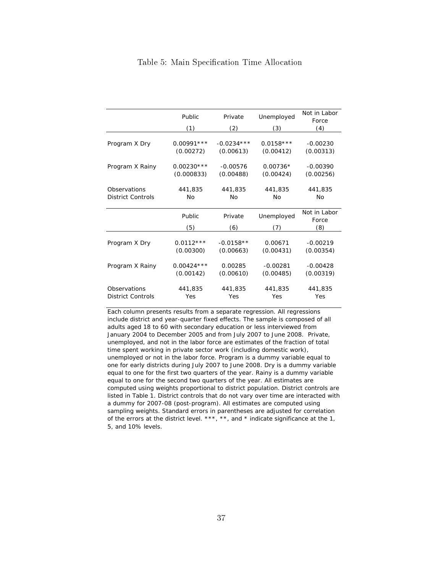|                                               | Public                    | Private                                         | Unemployed               | Not in Labor<br>Force        |
|-----------------------------------------------|---------------------------|-------------------------------------------------|--------------------------|------------------------------|
|                                               | (1)                       | (2)                                             | (3)                      | (4)                          |
| Program X Dry                                 | $0.00991***$<br>(0.00272) | $-0.0234***$<br>(0.00613)                       | $0.0158***$<br>(0.00412) | $-0.00230$<br>(0.00313)      |
| $0.00230***$<br>Program X Rainy<br>(0.000833) |                           | $-0.00576$<br>(0.00488)                         | $0.00736*$<br>(0.00424)  | $-0.00390$<br>(0.00256)      |
| Observations<br><b>District Controls</b>      | 441,835<br>No             | 441,835<br>No                                   | 441,835<br>No            | 441,835<br>No                |
|                                               | Public<br>(5)             | Private<br>(6)                                  | Unemployed<br>7)         | Not in Labor<br>Force<br>(8) |
| Program X Dry                                 | $0.0112***$<br>(0.00300)  | $-0.0158**$<br>(0.00663)                        | 0.00671<br>(0.00431)     | $-0.00219$<br>(0.00354)      |
| Program X Rainy                               | $0.00424***$<br>(0.00142) | 0.00285<br>$-0.00281$<br>(0.00610)<br>(0.00485) |                          | $-0.00428$<br>(0.00319)      |

#### Table 5: Main Specification Time Allocation

Each column presents results from a separate regression. All regressions include district and year-quarter fixed effects. The sample is composed of all adults aged 18 to 60 with secondary education or less interviewed from January 2004 to December 2005 and from July 2007 to June 2008. Private, unemployed, and not in the labor force are estimates of the fraction of total time spent working in private sector work (including domestic work), unemployed or not in the labor force. Program is a dummy variable equal to one for early districts during July 2007 to June 2008. Dry is a dummy variable equal to one for the first two quarters of the year. Rainy is a dummy variable equal to one for the second two quarters of the year. All estimates are computed using weights proportional to district population. District controls are listed in Table 1. District controls that do not vary over time are interacted with a dummy for 2007-08 (post-program). All estimates are computed using sampling weights. Standard errors in parentheses are adjusted for correlation of the errors at the district level. \*\*\*, \*\*, and \* indicate significance at the 1, 5, and 10% levels.

Observations 441,835 441,835 441,835 441,835 District Controls Yes Yes Yes Yes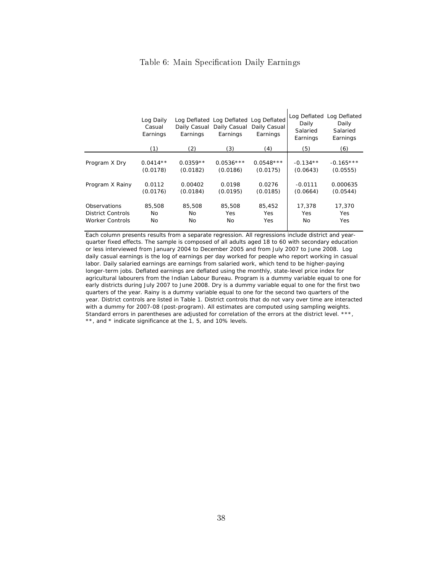### Table 6: Main Specification Daily Earnings

|                                                                    | Log Daily<br>Casual<br>Earnings              | Daily Casual<br>Earnings                      | Log Deflated Log Deflated Log Deflated<br>Daily Casual<br>Earnings | Daily Casual<br>Earnings                      | Log Deflated<br>Daily<br>Salaried<br>Earnings   | Log Deflated<br>Daily<br>Salaried<br>Earnings   |
|--------------------------------------------------------------------|----------------------------------------------|-----------------------------------------------|--------------------------------------------------------------------|-----------------------------------------------|-------------------------------------------------|-------------------------------------------------|
|                                                                    | (1)                                          | (2)                                           | (3)                                                                | (4)                                           | (5)                                             | (6)                                             |
| Program X Dry<br>Program X Rainy                                   | $0.0414**$<br>(0.0178)<br>0.0112<br>(0.0176) | $0.0359**$<br>(0.0182)<br>0.00402<br>(0.0184) | $0.0536***$<br>(0.0186)<br>0.0198<br>(0.0195)                      | $0.0548***$<br>(0.0175)<br>0.0276<br>(0.0185) | $-0.134**$<br>(0.0643)<br>$-0.0111$<br>(0.0664) | $-0.165***$<br>(0.0555)<br>0.000635<br>(0.0544) |
| Observations<br><b>District Controls</b><br><b>Worker Controls</b> | 85,508<br><b>No</b><br>No                    | 85,508<br><b>No</b><br><b>No</b>              | 85,508<br>Yes<br>No                                                | 85,452<br>Yes.<br>Yes                         | 17,378<br>Yes<br><b>No</b>                      | 17,370<br>Yes<br>Yes                            |

 $\mathbf{r}$ 

Each column presents results from a separate regression. All regressions include district and yearquarter fixed effects. The sample is composed of all adults aged 18 to 60 with secondary education or less interviewed from January 2004 to December 2005 and from July 2007 to June 2008. Log daily casual earnings is the log of earnings per day worked for people who report working in casual labor. Daily salaried earnings are earnings from salaried work, which tend to be higher-paying longer-term jobs. Deflated earnings are deflated using the monthly, state-level price index for agricultural labourers from the Indian Labour Bureau. Program is a dummy variable equal to one for early districts during July 2007 to June 2008. Dry is a dummy variable equal to one for the first two quarters of the year. Rainy is a dummy variable equal to one for the second two quarters of the year. District controls are listed in Table 1. District controls that do not vary over time are interacted with a dummy for 2007-08 (post-program). All estimates are computed using sampling weights. Standard errors in parentheses are adjusted for correlation of the errors at the district level. \*\*\*, \*\*, and \* indicate significance at the 1, 5, and 10% levels.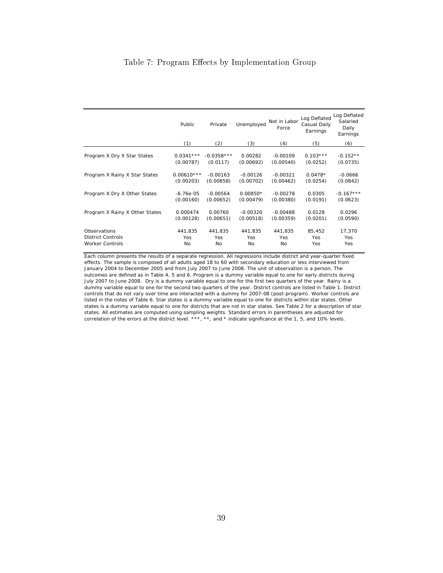### Table 7: Program Effects by Implementation Group

|                                | Public       | Private      | Unemployed | Not in Labor<br>Force | Log Deflated<br>Casual Daily<br>Earnings | Log Deflated<br>Salaried<br>Daily<br>Earnings |
|--------------------------------|--------------|--------------|------------|-----------------------|------------------------------------------|-----------------------------------------------|
|                                | (1)          | (2)          | (3)        | (4)                   | (5)                                      | (6)                                           |
| Program X Dry X Star States    | $0.0341***$  | $-0.0358***$ | 0.00282    | $-0.00109$            | $0.103***$                               | $-0.152**$                                    |
|                                | (0.00787)    | (0.0117)     | (0.00692)  | (0.00540)             | (0.0252)                                 | (0.0735)                                      |
| Program X Rainy X Star States  | $0.00610***$ | $-0.00163$   | $-0.00126$ | $-0.00321$            | $0.0478*$                                | $-0.0666$                                     |
|                                | (0.00203)    | (0.00858)    | (0.00702)  | (0.00462)             | (0.0254)                                 | (0.0842)                                      |
| Program X Dry X Other States   | $-6.76e-05$  | $-0.00564$   | $0.00850*$ | $-0.00278$            | 0.0305                                   | $-0.167***$                                   |
|                                | (0.00160)    | (0.00652)    | (0.00479)  | (0.00380)             | (0.0191)                                 | (0.0623)                                      |
| Program X Rainy X Other States | 0.000474     | 0.00760      | $-0.00320$ | $-0.00488$            | 0.0128                                   | 0.0296                                        |
|                                | (0.00128)    | (0.00651)    | (0.00518)  | (0.00359)             | (0.0201)                                 | (0.0590)                                      |
| Observations                   | 441,835      | 441,835      | 441,835    | 441,835               | 85,452                                   | 17,370                                        |
| <b>District Controls</b>       | Yes          | Yes          | Yes        | Yes                   | Yes                                      | <b>Yes</b>                                    |
| <b>Worker Controls</b>         | No           | No           | No         | No                    | Yes                                      | <b>Yes</b>                                    |

Each column presents the results of a separate regression. All regressions include district and year-quarter fixed effects. The sample is composed of all adults aged 18 to 60 with secondary education or less interviewed from January 2004 to December 2005 and from July 2007 to June 2008. The unit of observation is a person. The outcomes are defined as in Table 4, 5 and 6. Program is a dummy variable equal to one for early districts during July 2007 to June 2008. Dry is a dummy variable equal to one for the first two quarters of the year. Rainy is a dummy variable equal to one for the second two quarters of the year. District controls are listed in Table 1. District controls that do not vary over time are interacted with a dummy for 2007-08 (post-program). Worker controls are listed in the notes of Table 6. Star states is a dummy variable equal to one for districts within star states. Other states is a dummy variable equal to one for districts that are not in star states. See Table 2 for a description of star states. All estimates are computed using sampling weights. Standard errors in parentheses are adjusted for correlation of the errors at the district level. \*\*\*, \*\*, and \* indicate significance at the 1, 5, and 10% levels.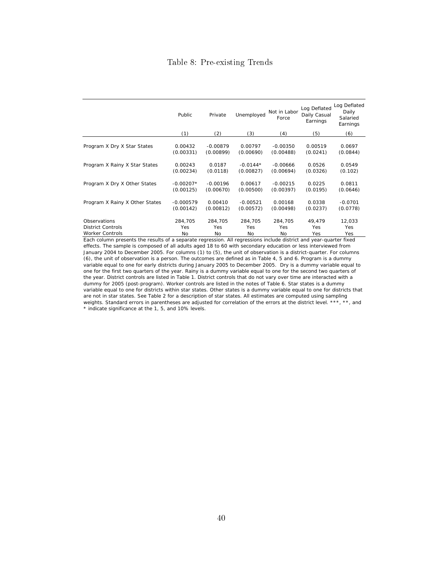### Table 8: Pre-existing Trends

|                                | Public      | Private    | Unemployed | Not in Labor<br>Force | Log Deflated<br>Daily Casual<br>Earnings | Log Deflated<br>Daily<br>Salaried<br>Earnings |
|--------------------------------|-------------|------------|------------|-----------------------|------------------------------------------|-----------------------------------------------|
|                                | (1)         | (2)        | (3)        | (4)                   | (5)                                      | (6)                                           |
| Program X Dry X Star States    | 0.00432     | $-0.00879$ | 0.00797    | $-0.00350$            | 0.00519                                  | 0.0697                                        |
|                                | (0.00331)   | (0.00899)  | (0.00690)  | (0.00488)             | (0.0241)                                 | (0.0844)                                      |
| Program X Rainy X Star States  | 0.00243     | 0.0187     | $-0.0144*$ | $-0.00666$            | 0.0526                                   | 0.0549                                        |
|                                | (0.00234)   | (0.0118)   | (0.00827)  | (0.00694)             | (0.0326)                                 | (0.102)                                       |
| Program X Dry X Other States   | $-0.00207*$ | $-0.00196$ | 0.00617    | $-0.00215$            | 0.0225                                   | 0.0811                                        |
|                                | (0.00125)   | (0.00670)  | (0.00500)  | (0.00397)             | (0.0195)                                 | (0.0646)                                      |
| Program X Rainy X Other States | $-0.000579$ | 0.00410    | $-0.00521$ | 0.00168               | 0.0338                                   | $-0.0701$                                     |
|                                | (0.00142)   | (0.00812)  | (0.00572)  | (0.00498)             | (0.0237)                                 | (0.0778)                                      |
| Observations                   | 284.705     | 284.705    | 284.705    | 284,705               | 49.479                                   | 12,033                                        |
| <b>District Controls</b>       | Yes         | Yes        | Yes        | Yes                   | Yes                                      | Yes                                           |
| <b>Worker Controls</b>         | No.         | No.        | No         | No                    | Yes                                      | Yes                                           |

Each column presents the results of a separate regression. All regressions include district and year-quarter fixed effects. The sample is composed of all adults aged 18 to 60 with secondary education or less interviewed from January 2004 to December 2005. For columns (1) to (5), the unit of observation is a district-quarter. For columns (6), the unit of observation is a person. The outcomes are defined as in Table 4, 5 and 6. Program is a dummy variable equal to one for early districts during January 2005 to December 2005. Dry is a dummy variable equal to one for the first two quarters of the year. Rainy is a dummy variable equal to one for the second two quarters of the year. District controls are listed in Table 1. District controls that do not vary over time are interacted with a dummy for 2005 (post-program). Worker controls are listed in the notes of Table 6. Star states is a dummy variable equal to one for districts within star states. Other states is a dummy variable equal to one for districts that are not in star states. See Table 2 for a description of star states. All estimates are computed using sampling weights. Standard errors in parentheses are adjusted for correlation of the errors at the district level. \*\*\*, \*\*, and \* indicate significance at the 1, 5, and 10% levels.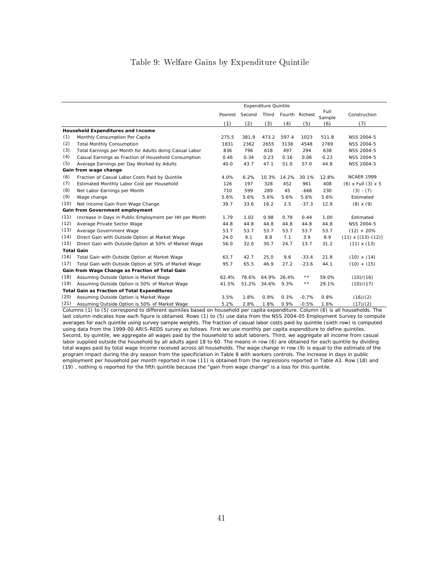### Table 9: Welfare Gains by Expenditure Quintile

|      |                                                        |         |        | <b>Expenditure Quintile</b> |             |                 |                |                           |
|------|--------------------------------------------------------|---------|--------|-----------------------------|-------------|-----------------|----------------|---------------------------|
|      |                                                        | Poorest | Second | Third                       | Fourth      | Richest         | Full<br>Sample | Construction              |
|      |                                                        | (1)     | (2)    | (3)                         | (4)         | (5)             | (6)            | (7)                       |
|      | Household Expenditures and Income                      |         |        |                             |             |                 |                |                           |
| (1)  | Monthly Consumption Per Capita                         | 275.5   | 381.9  | 473.2                       | 597.4       | 1023            | 511.8          | <b>NSS 2004-5</b>         |
| (2)  | <b>Total Monthly Consumption</b>                       | 1831    | 2362   | 2655                        | 3138        | 4548            | 2769           | <b>NSS 2004-5</b>         |
| (3)  | Total Earnings per Month for Adults doing Casual Labor | 836     | 796    | 618                         | 497         | 294             | 638            | NSS 2004-5                |
| (4)  | Casual Earnings as Fraction of Household Consumption   | 0.46    | 0.34   | 0.23                        | 0.16        | 0.06            | 0.23           | NSS 2004-5                |
| (5)  | Average Earnings per Day Worked by Adults              | 40.0    | 43.7   | 47.1                        | 51.0        | 57.0            | 44.8           | NSS 2004-5                |
|      | Gain from wage change                                  |         |        |                             |             |                 |                |                           |
| (6)  | Fraction of Casual Labor Costs Paid by Quintile        | 4.0%    | 6.2%   | 10.3%                       | 14.2%       | 30.1%           | 12.8%          | <b>NCAER 1999</b>         |
| (7)  | Estimated Monthly Labor Cost per Household             | 126     | 197    | 328                         | 452         | 961             | 408            | $(6)$ x Full $(3)$ x 5    |
| (8)  | Net Labor Earnings per Month                           | 710     | 599    | 289                         | 45          | $-666$          | 230            | $(3) - (7)$               |
| (9)  | Wage change                                            | 5.6%    | 5.6%   | 5.6%                        | 5.6%        | 5.6%            | 5.6%           | Estimated                 |
| (10) | Net Income Gain from Wage Change                       | 39.7    | 33.6   | 16.2                        | 2.5         | $-37.3$         | 12.9           | $(8) \times (9)$          |
|      | Gain from Government employment                        |         |        |                             |             |                 |                |                           |
| (11) | Increase in Days in Public Employment per HH per Month | 1.79    | 1.02   | 0.98                        | 0.79        | 0.44            | 1.00           | Estimated                 |
| (12) | Average Private Sector Wage                            | 44.8    | 44.8   | 44.8                        | 44.8        | 44.8            | 44.8           | <b>NSS 2004-5</b>         |
| (13) | Average Government Wage                                | 53.7    | 53.7   | 53.7                        | 53.7        | 53.7            | 53.7           | $(12) + 20%$              |
| (14) | Direct Gain with Outside Option at Market Wage         | 24.0    | 9.1    | 8.8                         | 7.1         | 3.9             | 8.9            | $(11) \times [(13)-(12)]$ |
| (15) | Direct Gain with Outside Option at 50% of Market Wage  | 56.0    | 32.0   | 30.7                        | 24.7        | 13.7            | 31.2           | $(11) \times (13)$        |
|      | <b>Total Gain</b>                                      |         |        |                             |             |                 |                |                           |
| (16) | Total Gain with Outside Option at Market Wage          | 63.7    | 42.7   | 25.0                        | 9.6         | $-33.4$         | 21.8           | $(10) + (14)$             |
| (17) | Total Gain with Outside Option at 50% of Market Wage   | 95.7    | 65.5   | 46.9                        | 27.2        | $-23.6$         | 44.1           | $(10) + (15)$             |
|      | Gain from Wage Change as Fraction of Total Gain        |         |        |                             |             |                 |                |                           |
| (18) | Assuming Outside Option is Market Wage                 | 62.4%   | 78.6%  |                             | 64.9% 26.4% | $\star\star$    | 59.0%          | (10)/(16)                 |
| (19) | Assuming Outside Option is 50% of Market Wage          | 41.5%   | 51.2%  | 34.6%                       | 9.3%        | $\star$ $\star$ | 29.1%          | (10)/(17)                 |
|      | <b>Total Gain as Fraction of Total Expenditures</b>    |         |        |                             |             |                 |                |                           |
| (20) | Assuming Outside Option is Market Wage                 | 3.5%    | 1.8%   | 0.9%                        | 0.3%        | $-0.7%$         | 0.8%           | (16)/(2)                  |
| (21) | Assuming Outside Option is 50% of Market Wage          | 5.2%    | 2.8%   | 1.8%                        | 0.9%        | $-0.5%$         | 1.6%           | (17)/(2)                  |

Columns (1) to (5) correspond to different quintiles based on household per capita expenditure. Column (6) is all households. The last column indicates how each figure is obtained. Rows (1) to (5) use data from the NSS 2004-05 Employment Survey to compute averages for each quintile using survey sample weights. The fraction of casual labor costs paid by quintile (sixth row) is computed using data from the 1999-00 ARIS-REDS survey as follows. First we use monthly per capita expenditure to define quintiles. Second, by quintile, we aggregate all wages paid by the household to adult laborers. Third, we aggregate all income from casual labor supplied outside the household by all adults aged 18 to 60. The means in row (6) are obtained for each quintile by dividing total wages paid by total wage income received across all households. The wage change in row (9) is equal to the estimate of the program impact during the dry season from the specificiation in Table 8 with workers controls. The increase in days in public employment per household per month reported in row (11) is obtained from the regressions reported in Table A3. Row (18) and (19) , nothing is reported for the fifth quintile because the "gain from wage change" is a loss for this quintile.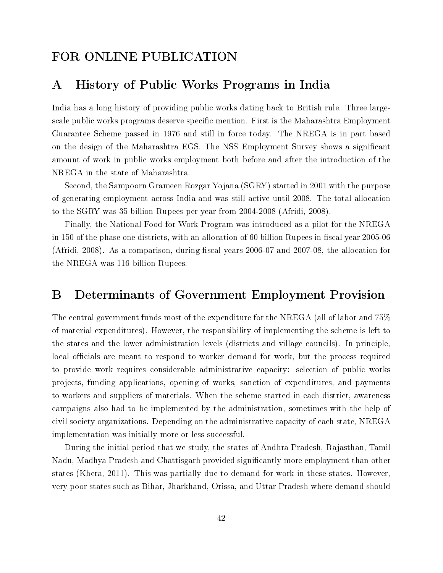## FOR ONLINE PUBLICATION

## A History of Public Works Programs in India

India has a long history of providing public works dating back to British rule. Three largescale public works programs deserve specific mention. First is the Maharashtra Employment Guarantee Scheme passed in 1976 and still in force today. The NREGA is in part based on the design of the Maharashtra EGS. The NSS Employment Survey shows a signicant amount of work in public works employment both before and after the introduction of the NREGA in the state of Maharashtra.

Second, the Sampoorn Grameen Rozgar Yojana (SGRY) started in 2001 with the purpose of generating employment across India and was still active until 2008. The total allocation to the SGRY was 35 billion Rupees per year from 2004-2008 (Afridi, 2008).

Finally, the National Food for Work Program was introduced as a pilot for the NREGA in 150 of the phase one districts, with an allocation of 60 billion Rupees in fiscal year 2005-06 (Afridi, 2008). As a comparison, during fiscal years  $2006-07$  and  $2007-08$ , the allocation for the NREGA was 116 billion Rupees.

## B Determinants of Government Employment Provision

The central government funds most of the expenditure for the NREGA (all of labor and 75% of material expenditures). However, the responsibility of implementing the scheme is left to the states and the lower administration levels (districts and village councils). In principle, local officials are meant to respond to worker demand for work, but the process required to provide work requires considerable administrative capacity: selection of public works projects, funding applications, opening of works, sanction of expenditures, and payments to workers and suppliers of materials. When the scheme started in each district, awareness campaigns also had to be implemented by the administration, sometimes with the help of civil society organizations. Depending on the administrative capacity of each state, NREGA implementation was initially more or less successful.

During the initial period that we study, the states of Andhra Pradesh, Rajasthan, Tamil Nadu, Madhya Pradesh and Chattisgarh provided signicantly more employment than other states (Khera, 2011). This was partially due to demand for work in these states. However, very poor states such as Bihar, Jharkhand, Orissa, and Uttar Pradesh where demand should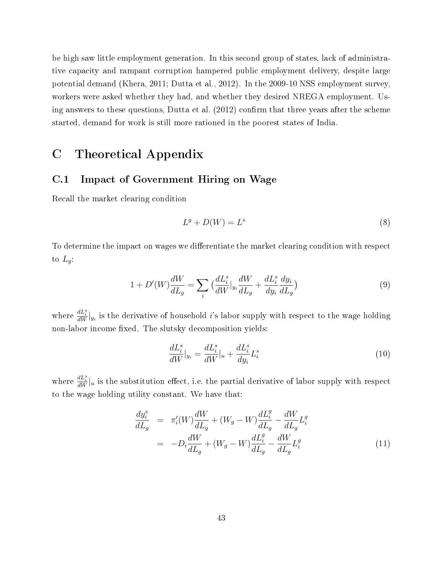be high saw little employment generation. In this second group of states, lack of administrative capacity and rampant corruption hampered public employment delivery, despite large potential demand (Khera, 2011; Dutta et al., 2012). In the 2009-10 NSS employment survey, workers were asked whether they had, and whether they desired NREGA employment. Using answers to these questions, Dutta et al.  $(2012)$  confirm that three years after the scheme started, demand for work is still more rationed in the poorest states of India.

## C Theoretical Appendix

### C.1 Impact of Government Hiring on Wage

Recall the market clearing condition

$$
L^g + D(W) = L^s \tag{8}
$$

To determine the impact on wages we differentiate the market clearing condition with respect to  $L_g$ :

$$
1 + D'(W)\frac{dW}{dL_g} = \sum_i \left(\frac{dL_i^s}{dW}|_{y_i}\frac{dW}{dL_g} + \frac{dL_i^s}{dy_i}\frac{dy_i}{dL_g}\right) \tag{9}
$$

where  $\frac{dL_i^s}{dW}|_{y_i}$  is the derivative of household *i*'s labor supply with respect to the wage holding non-labor income fixed. The slutsky decomposition yields:

$$
\frac{dL_i^s}{dW}|_{y_i} = \frac{dL_i^s}{dW}|_u + \frac{dL_i^s}{dy_i}L_i^s\tag{10}
$$

where  $\frac{dL_i^s}{dW}\Big|_u$  is the substitution effect, i.e. the partial derivative of labor supply with respect to the wage holding utility constant. We have that:

$$
\frac{dy_i^s}{dL_g} = \pi_i'(W)\frac{dW}{dL_g} + (W_g - W)\frac{dL_i^g}{dL_g} - \frac{dW}{dL_g}L_i^g
$$
\n
$$
= -D_i\frac{dW}{dL_g} + (W_g - W)\frac{dL_i^g}{dL_g} - \frac{dW}{dL_g}L_i^g
$$
\n(11)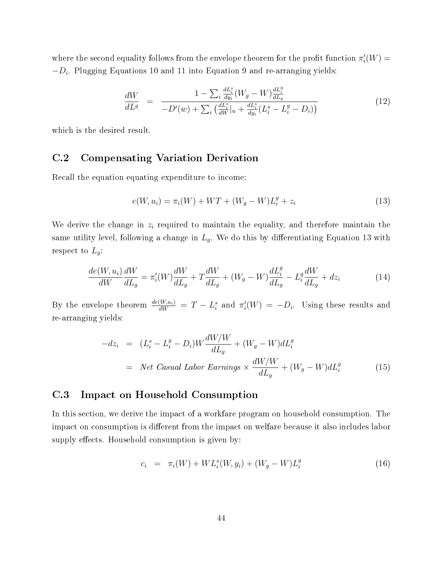where the second equality follows from the envelope theorem for the profit function  $\pi_i'(W) =$  $-D_i$ . Plugging Equations 10 and 11 into Equation 9 and re-arranging yields:

$$
\frac{dW}{dL^g} = \frac{1 - \sum_{i} \frac{dL_i^s}{dy_i} (W_g - W) \frac{dL_i^g}{dL_g}}{-D'(w) + \sum_{i} \left(\frac{dL_i^s}{dW}|_u + \frac{dL_i^s}{dy_i} (L_i^s - L_i^g - D_i)\right)}
$$
(12)

which is the desired result.

### C.2 Compensating Variation Derivation

Recall the equation equating expenditure to income:

$$
e(W, u_i) = \pi_i(W) + WT + (W_g - W)L_i^g + z_i
$$
\n(13)

We derive the change in  $z_i$  required to maintain the equality, and therefore maintain the same utility level, following a change in  $L_g$ . We do this by differentiating Equation 13 with respect to  $L_g$ :

$$
\frac{de(W, u_i)}{dW}\frac{dW}{dL_g} = \pi'_i(W)\frac{dW}{dL_g} + T\frac{dW}{dL_g} + (W_g - W)\frac{dL_i^g}{dL_g} - L_i^g\frac{dW}{dL_g} + dz_i
$$
\n(14)

By the envelope theorem  $\frac{de(W, u_i)}{dW} = T - L_i^s$  and  $\pi'_i(W) = -D_i$ . Using these results and re-arranging yields:

$$
-dz_i = (L_i^s - L_i^g - D_i)W \frac{dW/W}{dL_g} + (W_g - W) dL_i^g
$$
  
= Net Casual Labor Earnings ×  $\frac{dW/W}{dL_g} + (W_g - W) dL_i^g$  (15)

### C.3 Impact on Household Consumption

In this section, we derive the impact of a workfare program on household consumption. The impact on consumption is different from the impact on welfare because it also includes labor supply effects. Household consumption is given by:

$$
c_i = \pi_i(W) + WL_i^s(W, y_i) + (W_g - W)L_i^g \tag{16}
$$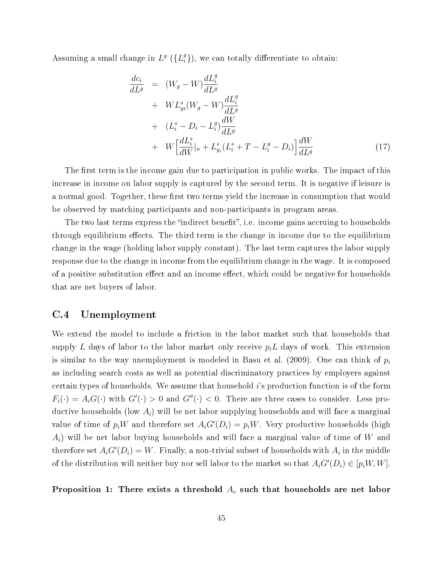Assuming a small change in  $L^g$  ( $\{L^g_i\}$  $_{i}^{g}$ }), we can totally differentiate to obtain:

$$
\frac{dc_i}{dL^g} = (W_g - W) \frac{dL_i^g}{dL^g} \n+ WL_{yi}^s (W_g - W) \frac{dL_i^g}{dL^g} \n+ (L_i^s - D_i - L_i^g) \frac{dW}{dL^g} \n+ W \left[ \frac{dL_i^s}{dW} \Big|_{u} + L_{y_i}^s (L_i^s + T - L_i^g - D_i) \right] \frac{dW}{dL^g}
$$
\n(17)

The first term is the income gain due to participation in public works. The impact of this increase in income on labor supply is captured by the second term. It is negative if leisure is a normal good. Together, these first two terms yield the increase in consumption that would be observed by matching participants and non-participants in program areas.

The two last terms express the "indirect benefit", i.e. income gains accruing to households through equilibrium effects. The third term is the change in income due to the equilibrium change in the wage (holding labor supply constant). The last term captures the labor supply response due to the change in income from the equilibrium change in the wage. It is composed of a positive substitution effect and an income effect, which could be negative for households that are net buyers of labor.

### C.4 Unemployment

We extend the model to include a friction in the labor market such that households that supply L days of labor to the labor market only receive  $p_i L$  days of work. This extension is similar to the way unemployment is modeled in Basu et al. (2009). One can think of  $p_i$ as including search costs as well as potential discriminatory practices by employers against certain types of households. We assume that household i's production function is of the form  $F_i(\cdot) = A_i G(\cdot)$  with  $G'(\cdot) > 0$  and  $G''(\cdot) < 0$ . There are three cases to consider. Less productive households (low  $A_i$ ) will be net labor supplying households and will face a marginal value of time of  $p_iW$  and therefore set  $A_iG'(D_i) = p_iW$ . Very productive households (high  $A_i$ ) will be net labor buying households and will face a marginal value of time of W and therefore set  $A_iG'(D_i) = W$ . Finally, a non-trivial subset of households with  $A_i$  in the middle of the distribution will neither buy nor sell labor to the market so that  $A_iG'(D_i) \in [p_iW, W]$ .

Proposition 1: There exists a threshold  $A_e$  such that households are net labor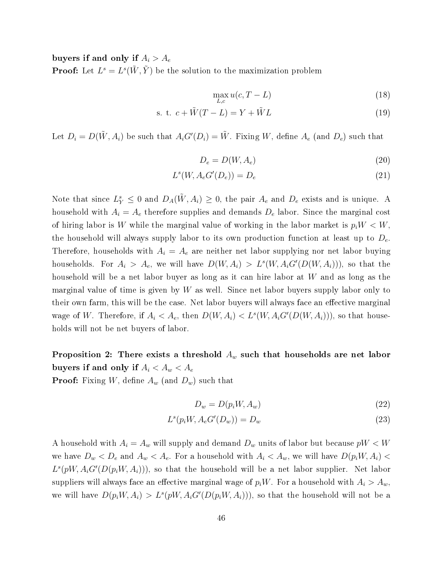buyers if and only if  $A_i > A_e$ 

**Proof:** Let  $L^s = L^s(\tilde{W}, \tilde{Y})$  be the solution to the maximization problem

$$
\max_{L,c} u(c, T - L) \tag{18}
$$

$$
s. t. c + \tilde{W}(T - L) = Y + \tilde{W}L
$$
\n<sup>(19)</sup>

Let  $D_i = D(\tilde{W}, A_i)$  be such that  $A_i G'(D_i) = \tilde{W}$ . Fixing W, define  $A_e$  (and  $D_e$ ) such that

$$
D_e = D(W, A_e) \tag{20}
$$

$$
L^s(W, A_e G'(D_e)) = D_e \tag{21}
$$

Note that since  $L_Y^s \leq 0$  and  $D_A(\tilde{W}, A_i) \geq 0$ , the pair  $A_e$  and  $D_e$  exists and is unique. A household with  $A_i = A_e$  therefore supplies and demands  $D_e$  labor. Since the marginal cost of hiring labor is W while the marginal value of working in the labor market is  $p_iW < W$ , the household will always supply labor to its own production function at least up to  $D_e$ . Therefore, households with  $A_i = A_e$  are neither net labor supplying nor net labor buying households. For  $A_i > A_e$ , we will have  $D(W, A_i) > L^s(W, A_i G'(D(W, A_i)))$ , so that the household will be a net labor buyer as long as it can hire labor at W and as long as the marginal value of time is given by  $W$  as well. Since net labor buyers supply labor only to their own farm, this will be the case. Net labor buyers will always face an effective marginal wage of W. Therefore, if  $A_i < A_e$ , then  $D(W, A_i) < L^s(W, A_iG'(D(W, A_i))),$  so that households will not be net buyers of labor.

Proposition 2: There exists a threshold  $A_w$  such that households are net labor buyers if and only if  $A_i < A_w < A_e$ 

**Proof:** Fixing W, define  $A_w$  (and  $D_w$ ) such that

$$
D_w = D(p_i W, A_w) \tag{22}
$$

$$
L^s(p_i W, A_e G'(D_w)) = D_w \tag{23}
$$

A household with  $A_i = A_w$  will supply and demand  $D_w$  units of labor but because  $pW < W$ we have  $D_w < D_e$  and  $A_w < A_e$ . For a household with  $A_i < A_w$ , we will have  $D(p_iW, A_i)$  $L^s(pW, A_iG'(D(p_iW, A_i)))$ , so that the household will be a net labor supplier. Net labor suppliers will always face an effective marginal wage of  $p_iW$ . For a household with  $A_i > A_w$ . we will have  $D(p_i W, A_i) > L^s(pW, A_i G'(D(p_i W, A_i)))$ , so that the household will not be a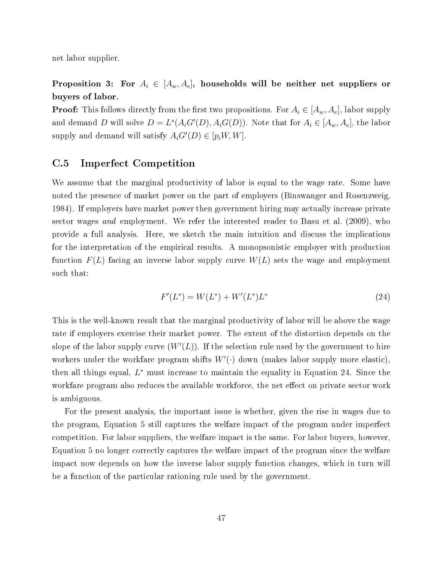net labor supplier.

Proposition 3: For  $A_i \in [A_w, A_e]$ , households will be neither net suppliers or buyers of labor.

**Proof:** This follows directly from the first two propositions. For  $A_i \in [A_w, A_e]$ , labor supply and demand D will solve  $D = L^s(A_iG'(D), A_iG(D))$ . Note that for  $A_i \in [A_w, A_e]$ , the labor supply and demand will satisfy  $A_iG'(D) \in [p_iW, W]$ .

### C.5 Imperfect Competition

We assume that the marginal productivity of labor is equal to the wage rate. Some have noted the presence of market power on the part of employers (Binswanger and Rosenzweig, 1984). If employers have market power then government hiring may actually increase private sector wages *and* employment. We refer the interested reader to Basu et al. (2009), who provide a full analysis. Here, we sketch the main intuition and discuss the implications for the interpretation of the empirical results. A monopsonistic employer with production function  $F(L)$  facing an inverse labor supply curve  $W(L)$  sets the wage and employment such that:

$$
F'(L^*) = W(L^*) + W'(L^*)L^*
$$
\n(24)

This is the well-known result that the marginal productivity of labor will be above the wage rate if employers exercise their market power. The extent of the distortion depends on the slope of the labor supply curve  $(W'(L))$ . If the selection rule used by the government to hire workers under the workfare program shifts  $W'(\cdot)$  down (makes labor supply more elastic), then all things equal,  $L^*$  must increase to maintain the equality in Equation 24. Since the workfare program also reduces the available workforce, the net effect on private sector work is ambiguous.

For the present analysis, the important issue is whether, given the rise in wages due to the program, Equation 5 still captures the welfare impact of the program under imperfect competition. For labor suppliers, the welfare impact is the same. For labor buyers, however, Equation 5 no longer correctly captures the welfare impact of the program since the welfare impact now depends on how the inverse labor supply function changes, which in turn will be a function of the particular rationing rule used by the government.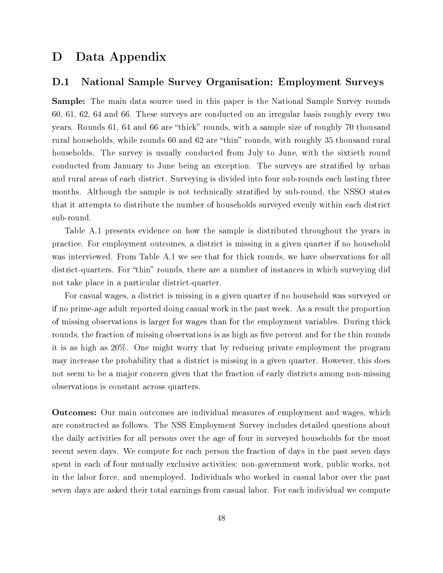## D Data Appendix

### D.1 National Sample Survey Organisation: Employment Surveys

Sample: The main data source used in this paper is the National Sample Survey rounds 60, 61, 62, 64 and 66. These surveys are conducted on an irregular basis roughly every two years. Rounds 61, 64 and 66 are "thick" rounds, with a sample size of roughly 70 thousand rural households, while rounds 60 and 62 are "thin" rounds, with roughly 35 thousand rural households. The survey is usually conducted from July to June, with the sixtieth round conducted from January to June being an exception. The surveys are stratified by urban and rural areas of each district. Surveying is divided into four sub-rounds each lasting three months. Although the sample is not technically stratified by sub-round, the NSSO states that it attempts to distribute the number of households surveyed evenly within each district sub-round.

Table A.1 presents evidence on how the sample is distributed throughout the years in practice. For employment outcomes, a district is missing in a given quarter if no household was interviewed. From Table A.1 we see that for thick rounds, we have observations for all district-quarters. For "thin" rounds, there are a number of instances in which surveying did not take place in a particular district-quarter.

For casual wages, a district is missing in a given quarter if no household was surveyed or if no prime-age adult reported doing casual work in the past week. As a result the proportion of missing observations is larger for wages than for the employment variables. During thick rounds, the fraction of missing observations is as high as five percent and for the thin rounds it is as high as 20%. One might worry that by reducing private employment the program may increase the probability that a district is missing in a given quarter. However, this does not seem to be a major concern given that the fraction of early districts among non-missing observations is constant across quarters.

Outcomes: Our main outcomes are individual measures of employment and wages, which are constructed as follows. The NSS Employment Survey includes detailed questions about the daily activities for all persons over the age of four in surveyed households for the most recent seven days. We compute for each person the fraction of days in the past seven days spent in each of four mutually exclusive activities: non-government work, public works, not in the labor force, and unemployed. Individuals who worked in casual labor over the past seven days are asked their total earnings from casual labor. For each individual we compute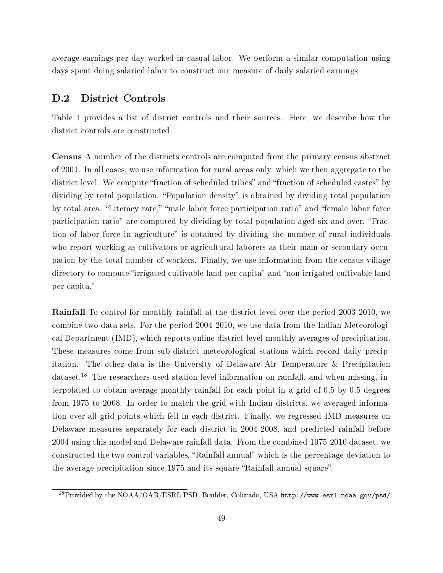average earnings per day worked in casual labor. We perform a similar computation using days spent doing salaried labor to construct our measure of daily salaried earnings.

### D.2 District Controls

Table 1 provides a list of district controls and their sources. Here, we describe how the district controls are constructed.

Census A number of the districts controls are computed from the primary census abstract of 2001. In all cases, we use information for rural areas only, which we then aggregate to the district level. We compute "fraction of scheduled tribes" and "fraction of scheduled castes" by dividing by total population. "Population density" is obtained by dividing total population by total area. "Literacy rate," "male labor force participation ratio" and "female labor force participation ratio" are computed by dividing by total population aged six and over. "Fraction of labor force in agriculture" is obtained by dividing the number of rural individuals who report working as cultivators or agricultural laborers as their main or secondary occupation by the total number of workers. Finally, we use information from the census village directory to compute "irrigated cultivable land per capita" and "non irrigated cultivable land per capita.

Rainfall To control for monthly rainfall at the district level over the period 2003-2010, we combine two data sets. For the period 2004-2010, we use data from the Indian Meteorological Department (IMD), which reports online district-level monthly averages of precipitation. These measures come from sub-district meteorological stations which record daily precipitation. The other data is the University of Delaware Air Temperature & Precipitation dataset.<sup>18</sup> The researchers used station-level information on rainfall, and when missing, interpolated to obtain average monthly rainfall for each point in a grid of 0.5 by 0.5 degrees from 1975 to 2008. In order to match the grid with Indian districts, we averaged information over all grid-points which fell in each district. Finally, we regressed IMD measures on Delaware measures separately for each district in 2004-2008, and predicted rainfall before 2004 using this model and Delaware rainfall data. From the combined 1975-2010 dataset, we constructed the two control variables, "Rainfall annual" which is the percentage deviation to the average precipitation since 1975 and its square "Rainfall annual square".

 $^{18}$ Provided by the NOAA/OAR/ESRL PSD, Boulder, Colorado, USA http://www.esrl.noaa.gov/psd/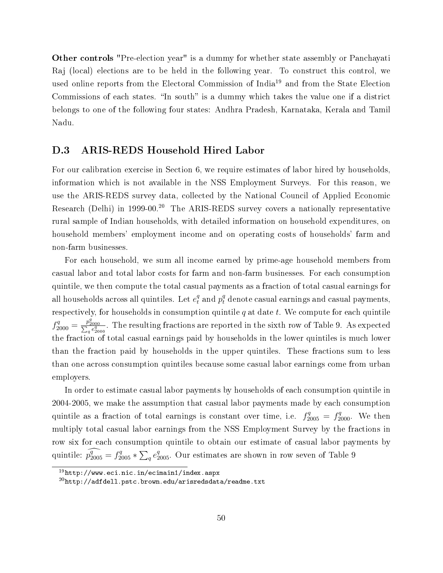Other controls "Pre-election year" is a dummy for whether state assembly or Panchayati Raj (local) elections are to be held in the following year. To construct this control, we used online reports from the Electoral Commission of India<sup>19</sup> and from the State Election Commissions of each states. "In south" is a dummy which takes the value one if a district belongs to one of the following four states: Andhra Pradesh, Karnataka, Kerala and Tamil Nadu.

### D.3 ARIS-REDS Household Hired Labor

For our calibration exercise in Section 6, we require estimates of labor hired by households, information which is not available in the NSS Employment Surveys. For this reason, we use the ARIS-REDS survey data, collected by the National Council of Applied Economic Research (Delhi) in 1999-00.<sup>20</sup> The ARIS-REDS survey covers a nationally representative rural sample of Indian households, with detailed information on household expenditures, on household members' employment income and on operating costs of households' farm and non-farm businesses.

For each household, we sum all income earned by prime-age household members from casual labor and total labor costs for farm and non-farm businesses. For each consumption quintile, we then compute the total casual payments as a fraction of total casual earnings for all households across all quintiles. Let  $e_t^q$  and  $p_t^q$  denote casual earnings and casual payments, respectively, for households in consumption quintile  $q$  at date  $t$ . We compute for each quintile  $f_{2000}^q = \frac{p_{2000}^q}{\sum_q e_{2000}^q}$ . The resulting fractions are reported in the sixth row of Table 9. As expected the fraction of total casual earnings paid by households in the lower quintiles is much lower than the fraction paid by households in the upper quintiles. These fractions sum to less than one across consumption quintiles because some casual labor earnings come from urban employers.

In order to estimate casual labor payments by households of each consumption quintile in 2004-2005, we make the assumption that casual labor payments made by each consumption quintile as a fraction of total earnings is constant over time, i.e.  $f_{2005}^q = f_{2000}^q$ . We then multiply total casual labor earnings from the NSS Employment Survey by the fractions in row six for each consumption quintile to obtain our estimate of casual labor payments by quintile:  $p_{2005}^q = f_{2005}^q * \sum_q e_{2005}^q$ . Our estimates are shown in row seven of Table 9

 $19$ http://www.eci.nic.in/ecimain1/index.aspx

 $^{20}$ http://adfdell.pstc.brown.edu/arisredsdata/readme.txt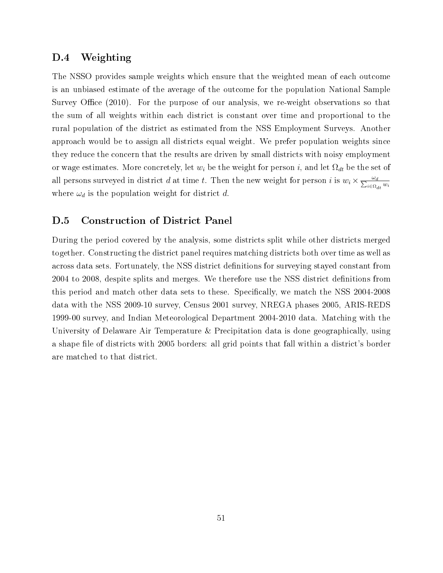### D.4 Weighting

The NSSO provides sample weights which ensure that the weighted mean of each outcome is an unbiased estimate of the average of the outcome for the population National Sample Survey Office  $(2010)$ . For the purpose of our analysis, we re-weight observations so that the sum of all weights within each district is constant over time and proportional to the rural population of the district as estimated from the NSS Employment Surveys. Another approach would be to assign all districts equal weight. We prefer population weights since they reduce the concern that the results are driven by small districts with noisy employment or wage estimates. More concretely, let  $w_i$  be the weight for person i, and let  $\Omega_{dt}$  be the set of all persons surveyed in district d at time t. Then the new weight for person i is  $w_i \times \frac{\omega_d}{\sum_{i \in \Omega_{dt}} w_i}$ where  $\omega_d$  is the population weight for district d.

### D.5 Construction of District Panel

During the period covered by the analysis, some districts split while other districts merged together. Constructing the district panel requires matching districts both over time as well as across data sets. Fortunately, the NSS district definitions for surveying stayed constant from 2004 to 2008, despite splits and merges. We therefore use the NSS district definitions from this period and match other data sets to these. Specifically, we match the NSS 2004-2008 data with the NSS 2009-10 survey, Census 2001 survey, NREGA phases 2005, ARIS-REDS 1999-00 survey, and Indian Meteorological Department 2004-2010 data. Matching with the University of Delaware Air Temperature & Precipitation data is done geographically, using a shape file of districts with 2005 borders: all grid points that fall within a district's border are matched to that district.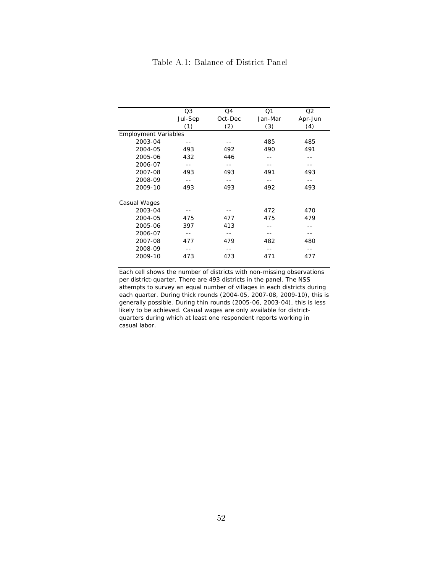|                             | Q3      | Q4      | Q <sub>1</sub> | Q2      |
|-----------------------------|---------|---------|----------------|---------|
|                             | Jul-Sep | Oct-Dec | Jan-Mar        | Apr-Jun |
|                             | (1)     | (2)     | (3)            | (4)     |
| <b>Employment Variables</b> |         |         |                |         |
| 2003-04                     |         |         | 485            | 485     |
| 2004-05                     | 493     | 492     | 490            | 491     |
| 2005-06                     | 432     | 446     |                |         |
| 2006-07                     |         |         |                |         |
| 2007-08                     | 493     | 493     | 491            | 493     |
| 2008-09                     |         |         |                |         |
| 2009-10                     | 493     | 493     | 492            | 493     |
| Casual Wages                |         |         |                |         |
| 2003-04                     |         |         | 472            | 470     |
| 2004-05                     | 475     | 477     | 475            | 479     |
| 2005-06                     | 397     | 413     |                |         |
| 2006-07                     |         |         |                |         |
| 2007-08                     | 477     | 479     | 482            | 480     |
| 2008-09                     |         |         |                |         |
| 2009-10                     | 473     | 473     | 471            | 477     |
|                             |         |         |                |         |

### Table A.1: Balance of District Panel

Each cell shows the number of districts with non-missing observations per district-quarter. There are 493 districts in the panel. The NSS attempts to survey an equal number of villages in each districts during each quarter. During thick rounds (2004-05, 2007-08, 2009-10), this is generally possible. During thin rounds (2005-06, 2003-04), this is less likely to be achieved. Casual wages are only available for districtquarters during which at least one respondent reports working in casual labor.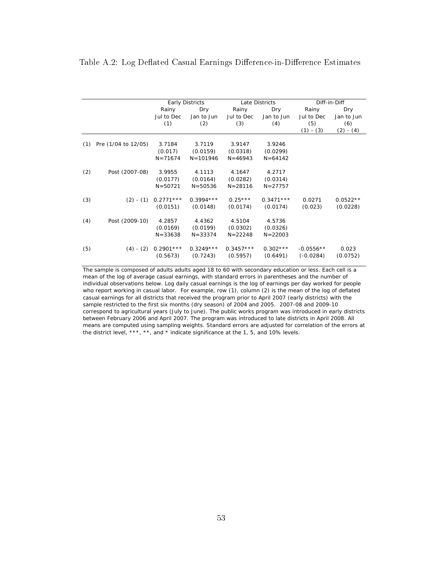### Table A.2: Log Deflated Casual Earnings Difference-in-Difference Estimates

|     |                     |             | <b>Early Districts</b> |             | Late Districts |             | Diff-in-Diff |
|-----|---------------------|-------------|------------------------|-------------|----------------|-------------|--------------|
|     |                     | Rainy       | Dry                    | Rainy       | Dry            | Rainy       | Dry          |
|     |                     | Jul to Dec  | Jan to Jun             | Jul to Dec  | Jan to Jun     | Jul to Dec  | Jan to Jun   |
|     |                     | (1)         | (2)                    | (3)         | (4)            | (5)         | (6)          |
|     |                     |             |                        |             |                | $(1) - (3)$ | (2) - (4)    |
|     |                     |             |                        |             |                |             |              |
| (1) | Pre (1/04 to 12/05) | 3.7184      | 3.7119                 | 3.9147      | 3.9246         |             |              |
|     |                     | (0.017)     | (0.0159)               | (0.0318)    | (0.0299)       |             |              |
|     |                     | $N = 71674$ | $N = 101946$           | $N = 46943$ | $N = 64142$    |             |              |
|     |                     |             |                        |             |                |             |              |
| (2) | Post (2007-08)      | 3.9955      | 4.1113                 | 4.1647      | 4.2717         |             |              |
|     |                     | (0.0177)    | (0.0164)               | (0.0282)    | (0.0314)       |             |              |
|     |                     | $N = 50721$ | $N = 50536$            | $N = 28116$ | $N = 27757$    |             |              |
|     |                     |             |                        |             |                |             |              |
| (3) | $(2) - (1)$         | $0.2771***$ | $0.3994***$            | $0.25***$   | $0.3471***$    | 0.0271      | $0.0522**$   |
|     |                     | (0.0151)    | (0.0148)               | (0.0174)    | (0.0174)       | (0.023)     | (0.0228)     |
|     |                     |             |                        |             |                |             |              |
| (4) | Post (2009-10)      | 4.2857      | 4.4362                 | 4.5104      | 4.5736         |             |              |
|     |                     | (0.0169)    | (0.0199)               | (0.0302)    | (0.0326)       |             |              |
|     |                     | $N = 33638$ | $N = 33374$            | $N = 22248$ | $N = 22003$    |             |              |
|     |                     |             |                        |             |                |             |              |
| (5) | $(4) - (2)$         | $0.2901***$ | $0.3249***$            | $0.3457***$ | $0.302***$     | $-0.0556**$ | 0.023        |
|     |                     | (0.5673)    | (0.7243)               | (0.5957)    | (0.6491)       | $(-0.0284)$ | (0.0752)     |
|     |                     |             |                        |             |                |             |              |

The sample is composed of adults adults aged 18 to 60 with secondary education or less. Each cell is a mean of the log of average casual earnings, with standard errors in parentheses and the number of individual observations below. Log daily casual earnings is the log of earnings per day worked for people who report working in casual labor. For example, row (1), column (2) is the mean of the log of deflated casual earnings for all districts that received the program prior to April 2007 (early districts) with the sample restricted to the first six months (dry season) of 2004 and 2005. 2007-08 and 2009-10 correspond to agricultural years (July to June). The public works program was introduced in early districts between February 2006 and April 2007. The program was introduced to late districts in April 2008. All means are computed using sampling weights. Standard errors are adjusted for correlation of the errors at the district level, \*\*\*, \*\*, and \* indicate significance at the 1, 5, and 10% levels.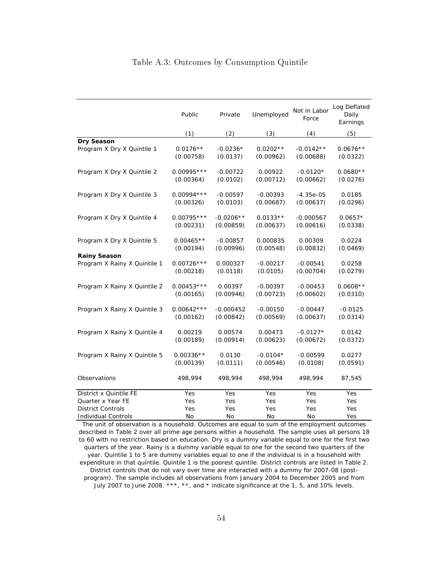|  |  |  | Table A.3: Outcomes by Consumption Quintile |  |
|--|--|--|---------------------------------------------|--|
|--|--|--|---------------------------------------------|--|

|                              | Public       | Private     | Unemployed | Not in Labor<br>Force | Log Deflated<br>Daily<br>Earnings |
|------------------------------|--------------|-------------|------------|-----------------------|-----------------------------------|
|                              | (1)          | (2)         | (3)        | (4)                   | (5)                               |
| Dry Season                   |              |             |            |                       |                                   |
| Program X Dry X Quintile 1   | $0.0176**$   | $-0.0236*$  | $0.0202**$ | $-0.0142**$           | $0.0676**$                        |
|                              | (0.00758)    | (0.0137)    | (0.00962)  | (0.00688)             | (0.0322)                          |
| Program X Dry X Quintile 2   | $0.00995***$ | $-0.00722$  | 0.00922    | $-0.0120*$            | $0.0680**$                        |
|                              | (0.00364)    | (0.0102)    | (0.00712)  | (0.00662)             | (0.0276)                          |
| Program X Dry X Quintile 3   | $0.00994***$ | $-0.00597$  | $-0.00393$ | $-4.35e-05$           | 0.0185                            |
|                              | (0.00326)    | (0.0103)    | (0.00687)  | (0.00637)             | (0.0296)                          |
| Program X Dry X Quintile 4   | $0.00795***$ | $-0.0206**$ | $0.0133**$ | $-0.000567$           | $0.0657*$                         |
|                              | (0.00231)    | (0.00859)   | (0.00637)  | (0.00616)             | (0.0338)                          |
| Program X Dry X Quintile 5   | $0.00465**$  | $-0.00857$  | 0.000835   | 0.00309               | 0.0224                            |
|                              | (0.00194)    | (0.00996)   | (0.00548)  | (0.00832)             | (0.0469)                          |
| <b>Rainy Season</b>          |              |             |            |                       |                                   |
| Program X Rainy X Quintile 1 | $0.00726***$ | 0.000327    | $-0.00217$ | $-0.00541$            | 0.0258                            |
|                              | (0.00218)    | (0.0118)    | (0.0105)   | (0.00704)             | (0.0279)                          |
| Program X Rainy X Quintile 2 | $0.00453***$ | 0.00397     | $-0.00397$ | $-0.00453$            | $0.0608**$                        |
|                              | (0.00165)    | (0.00946)   | (0.00723)  | (0.00602)             | (0.0310)                          |
| Program X Rainy X Quintile 3 | $0.00642***$ | $-0.000452$ | $-0.00150$ | $-0.00447$            | $-0.0125$                         |
|                              | (0.00162)    | (0.00842)   | (0.00569)  | (0.00637)             | (0.0314)                          |
| Program X Rainy X Quintile 4 | 0.00219      | 0.00574     | 0.00473    | $-0.0127*$            | 0.0142                            |
|                              | (0.00189)    | (0.00914)   | (0.00623)  | (0.00672)             | (0.0372)                          |
| Program X Rainy X Quintile 5 | $0.00336**$  | 0.0130      | $-0.0104*$ | $-0.00599$            | 0.0277                            |
|                              | (0.00139)    | (0.0111)    | (0.00546)  | (0.0108)              | (0.0591)                          |
| Observations                 | 498,994      | 498,994     | 498,994    | 498,994               | 87,545                            |
| District x Quintile FE       | Yes          | Yes         | Yes        | Yes                   | Yes                               |
| Quarter x Year FE            | Yes          | Yes         | Yes        | Yes                   | Yes                               |
| <b>District Controls</b>     | Yes          | Yes         | Yes        | Yes                   | Yes                               |
| <b>Individual Controls</b>   | No           | No          | No         | No                    | Yes                               |

The unit of observation is a household. Outcomes are equal to sum of the employment outcomes described in Table 2 over all prime age persons within a household. The sample uses all persons 18 to 60 with no restriction based on education. Dry is a dummy variable equal to one for the first two quarters of the year. Rainy is a dummy variable equal to one for the second two quarters of the year. Quintile 1 to 5 are dummy variables equal to one if the individual is in a household with expenditure in that quintile. Quintile 1 is the poorest quintile. District controls are listed in Table 2. District controls that do not vary over time are interacted with a dummy for 2007-08 (postprogram). The sample includes all observations from January 2004 to December 2005 and from July 2007 to June 2008. \*\*\*, \*\*, and \* indicate significance at the 1, 5, and 10% levels.